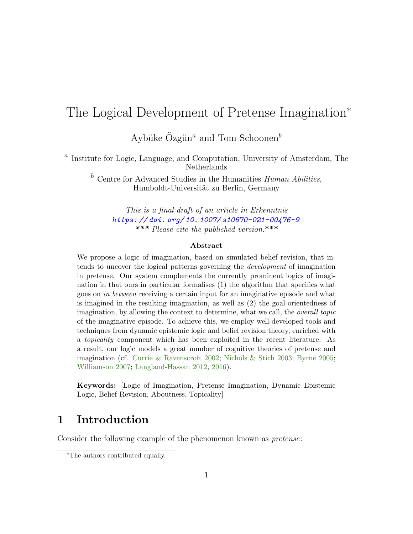# The Logical Development of Pretense Imagination<sup>∗</sup>

Aybüke Özgün<sup>a</sup> and Tom Schoonen<sup>b</sup>

<sup>a</sup> Institute for Logic, Language, and Computation, University of Amsterdam, The Netherlands

 $\bar{b}$  Centre for Advanced Studies in the Humanities *Human Abilities*, Humboldt-Universität zu Berlin, Germany

This is a final draft of an article in Erkenntnis [https: // doi. org/ 10. 1007/ s10670-021-00476-9](https://doi.org/10.1007/s10670-021-00476-9) \*\*\* Please cite the published version.\*\*\*

#### Abstract

We propose a logic of imagination, based on simulated belief revision, that intends to uncover the logical patterns governing the development of imagination in pretense. Our system complements the currently prominent logics of imagination in that ours in particular formalises (1) the algorithm that specifies what goes on in between receiving a certain input for an imaginative episode and what is imagined in the resulting imagination, as well as (2) the goal-orientedness of imagination, by allowing the context to determine, what we call, the overall topic of the imaginative episode. To achieve this, we employ well-developed tools and techniques from dynamic epistemic logic and belief revision theory, enriched with a topicality component which has been exploited in the recent literature. As a result, our logic models a great number of cognitive theories of pretense and imagination (cf. [Currie & Ravenscroft](#page-30-0) [2002;](#page-30-0) [Nichols & Stich](#page-31-0) [2003;](#page-31-0) [Byrne](#page-30-1) [2005;](#page-30-1) [Williamson](#page-32-0) [2007;](#page-32-0) [Langland-Hassan](#page-31-1) [2012,](#page-31-1) [2016\)](#page-31-2).

Keywords: [Logic of Imagination, Pretense Imagination, Dynamic Epistemic Logic, Belief Revision, Aboutness, Topicality]

# 1 Introduction

Consider the following example of the phenomenon known as pretense:

<sup>∗</sup>The authors contributed equally.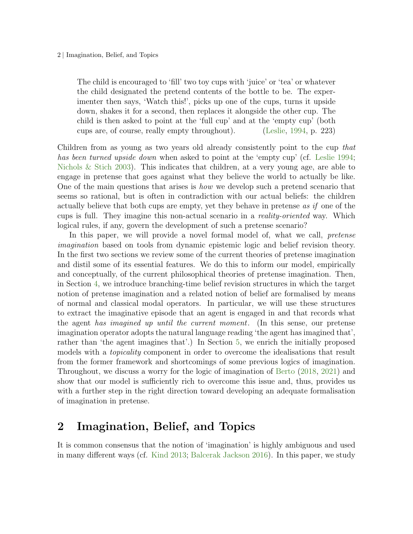#### 2 | Imagination, Belief, and Topics

The child is encouraged to 'fill' two toy cups with 'juice' or 'tea' or whatever the child designated the pretend contents of the bottle to be. The experimenter then says, 'Watch this!', picks up one of the cups, turns it upside down, shakes it for a second, then replaces it alongside the other cup. The child is then asked to point at the 'full cup' and at the 'empty cup' (both cups are, of course, really empty throughout). [\(Leslie,](#page-31-3) [1994,](#page-31-3) p. 223)

Children from as young as two years old already consistently point to the cup that has been turned upside down when asked to point at the 'empty cup' (cf. [Leslie](#page-31-3) [1994;](#page-31-3) Nichols  $\&$  Stich [2003\)](#page-31-0). This indicates that children, at a very young age, are able to engage in pretense that goes against what they believe the world to actually be like. One of the main questions that arises is how we develop such a pretend scenario that seems so rational, but is often in contradiction with our actual beliefs: the children actually believe that both cups are empty, yet they behave in pretense as if one of the cups is full. They imagine this non-actual scenario in a reality-oriented way. Which logical rules, if any, govern the development of such a pretense scenario?

In this paper, we will provide a novel formal model of, what we call, *pretense* imagination based on tools from dynamic epistemic logic and belief revision theory. In the first two sections we review some of the current theories of pretense imagination and distil some of its essential features. We do this to inform our model, empirically and conceptually, of the current philosophical theories of pretense imagination. Then, in Section [4,](#page-9-0) we introduce branching-time belief revision structures in which the target notion of pretense imagination and a related notion of belief are formalised by means of normal and classical modal operators. In particular, we will use these structures to extract the imaginative episode that an agent is engaged in and that records what the agent has imagined up until the current moment. (In this sense, our pretense imagination operator adopts the natural language reading 'the agent has imagined that', rather than 'the agent imagines that'.) In Section [5,](#page-19-0) we enrich the initially proposed models with a *topicality* component in order to overcome the idealisations that result from the former framework and shortcomings of some previous logics of imagination. Throughout, we discuss a worry for the logic of imagination of [Berto](#page-29-0) [\(2018,](#page-29-0) [2021\)](#page-29-1) and show that our model is sufficiently rich to overcome this issue and, thus, provides us with a further step in the right direction toward developing an adequate formalisation of imagination in pretense.

# <span id="page-1-0"></span>2 Imagination, Belief, and Topics

It is common consensus that the notion of 'imagination' is highly ambiguous and used in many different ways (cf. [Kind](#page-30-2) [2013;](#page-30-2) [Balcerak Jackson](#page-29-2) [2016\)](#page-29-2). In this paper, we study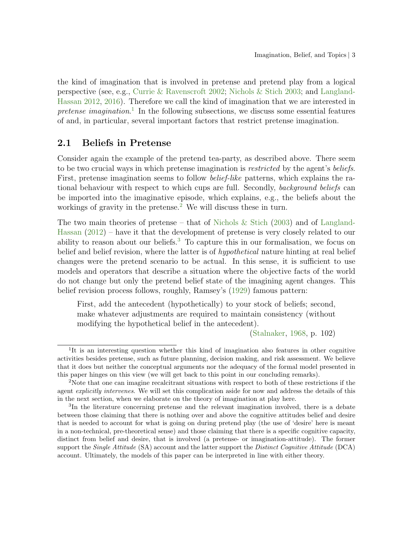the kind of imagination that is involved in pretense and pretend play from a logical perspective (see, e.g., [Currie & Ravenscroft](#page-30-0) [2002;](#page-30-0) [Nichols & Stich](#page-31-0) [2003;](#page-31-0) and [Langland-](#page-31-1)[Hassan](#page-31-1) [2012,](#page-31-1) [2016\)](#page-31-2). Therefore we call the kind of imagination that we are interested in pretense imagination.<sup>[1](#page-2-0)</sup> In the following subsections, we discuss some essential features of and, in particular, several important factors that restrict pretense imagination.

### 2.1 Beliefs in Pretense

Consider again the example of the pretend tea-party, as described above. There seem to be two crucial ways in which pretense imagination is *restricted* by the agent's *beliefs*. First, pretense imagination seems to follow *belief-like* patterns, which explains the rational behaviour with respect to which cups are full. Secondly, background beliefs can be imported into the imaginative episode, which explains, e.g., the beliefs about the workings of gravity in the pretense.<sup>[2](#page-2-1)</sup> We will discuss these in turn.

The two main theories of pretense – that of [Nichols & Stich](#page-31-0)  $(2003)$  and of [Langland-](#page-31-1)[Hassan](#page-31-1) [\(2012\)](#page-31-1) – have it that the development of pretense is very closely related to our ability to reason about our beliefs.<sup>[3](#page-2-2)</sup> To capture this in our formalisation, we focus on belief and belief revision, where the latter is of *hypothetical* nature hinting at real belief changes were the pretend scenario to be actual. In this sense, it is sufficient to use models and operators that describe a situation where the objective facts of the world do not change but only the pretend belief state of the imagining agent changes. This belief revision process follows, roughly, Ramsey's [\(1929\)](#page-31-4) famous pattern:

First, add the antecedent (hypothetically) to your stock of beliefs; second, make whatever adjustments are required to maintain consistency (without modifying the hypothetical belief in the antecedent).

[\(Stalnaker,](#page-31-5) [1968,](#page-31-5) p. 102)

<span id="page-2-0"></span><sup>&</sup>lt;sup>1</sup>It is an interesting question whether this kind of imagination also features in other cognitive activities besides pretense, such as future planning, decision making, and risk assessment. We believe that it does but neither the conceptual arguments nor the adequacy of the formal model presented in this paper hinges on this view (we will get back to this point in our concluding remarks).

<span id="page-2-1"></span><sup>&</sup>lt;sup>2</sup>Note that one can imagine recalcitrant situations with respect to both of these restrictions if the agent explicitly intervenes. We will set this complication aside for now and address the details of this in the next section, when we elaborate on the theory of imagination at play here.

<span id="page-2-2"></span><sup>&</sup>lt;sup>3</sup>In the literature concerning pretense and the relevant imagination involved, there is a debate between those claiming that there is nothing over and above the cognitive attitudes belief and desire that is needed to account for what is going on during pretend play (the use of 'desire' here is meant in a non-technical, pre-theoretical sense) and those claiming that there is a specific cognitive capacity, distinct from belief and desire, that is involved (a pretense- or imagination-attitude). The former support the *Single Attitude* (SA) account and the latter support the *Distinct Cognitive Attitude* (DCA) account. Ultimately, the models of this paper can be interpreted in line with either theory.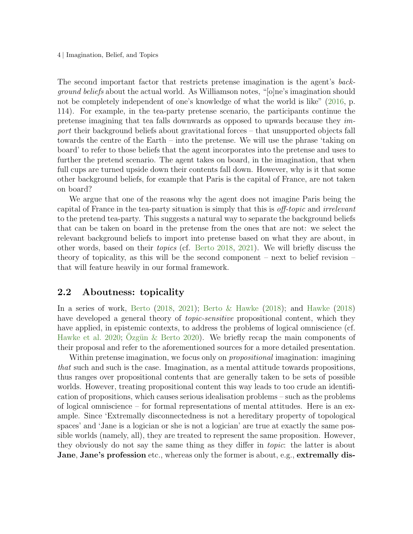4 | Imagination, Belief, and Topics

The second important factor that restricts pretense imagination is the agent's background beliefs about the actual world. As Williamson notes, "[o]ne's imagination should not be completely independent of one's knowledge of what the world is like" [\(2016,](#page-32-1) p. 114). For example, in the tea-party pretense scenario, the participants continue the pretense imagining that tea falls downwards as opposed to upwards because they import their background beliefs about gravitational forces – that unsupported objects fall towards the centre of the Earth – into the pretense. We will use the phrase 'taking on board' to refer to those beliefs that the agent incorporates into the pretense and uses to further the pretend scenario. The agent takes on board, in the imagination, that when full cups are turned upside down their contents fall down. However, why is it that some other background beliefs, for example that Paris is the capital of France, are not taken on board?

We argue that one of the reasons why the agent does not imagine Paris being the capital of France in the tea-party situation is simply that this is off-topic and irrelevant to the pretend tea-party. This suggests a natural way to separate the background beliefs that can be taken on board in the pretense from the ones that are not: we select the relevant background beliefs to import into pretense based on what they are about, in other words, based on their topics (cf. [Berto](#page-29-0) [2018,](#page-29-0) [2021\)](#page-29-1). We will briefly discuss the theory of topicality, as this will be the second component – next to belief revision – that will feature heavily in our formal framework.

# <span id="page-3-0"></span>2.2 Aboutness: topicality

In a series of work, [Berto](#page-29-0) [\(2018,](#page-29-0) [2021\)](#page-29-1); [Berto & Hawke](#page-29-3) [\(2018\)](#page-29-3); and [Hawke](#page-30-3) [\(2018\)](#page-30-3) have developed a general theory of *topic-sensitive* propositional content, which they have applied, in epistemic contexts, to address the problems of logical omniscience (cf. [Hawke et al.](#page-30-4) [2020;](#page-30-4) Ozgün & Berto [2020\)](#page-31-6). We briefly recap the main components of their proposal and refer to the aforementioned sources for a more detailed presentation.

Within pretense imagination, we focus only on *propositional* imagination: imagining that such and such is the case. Imagination, as a mental attitude towards propositions, thus ranges over propositional contents that are generally taken to be sets of possible worlds. However, treating propositional content this way leads to too crude an identification of propositions, which causes serious idealisation problems – such as the problems of logical omniscience – for formal representations of mental attitudes. Here is an example. Since 'Extremally disconnectedness is not a hereditary property of topological spaces' and 'Jane is a logician or she is not a logician' are true at exactly the same possible worlds (namely, all), they are treated to represent the same proposition. However, they obviously do not say the same thing as they differ in topic: the latter is about Jane, Jane's profession etc., whereas only the former is about, e.g., extremally dis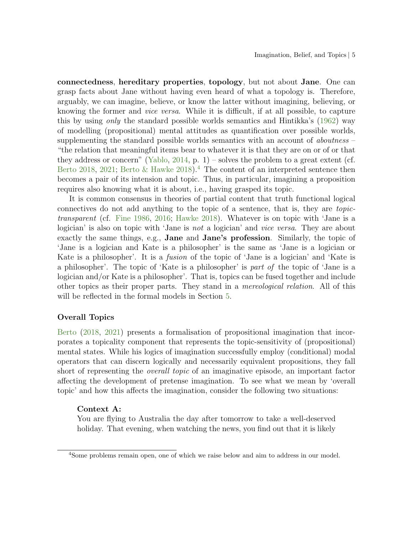connectedness, hereditary properties, topology, but not about Jane. One can grasp facts about Jane without having even heard of what a topology is. Therefore, arguably, we can imagine, believe, or know the latter without imagining, believing, or knowing the former and vice versa. While it is difficult, if at all possible, to capture this by using only the standard possible worlds semantics and Hintikka's [\(1962\)](#page-30-5) way of modelling (propositional) mental attitudes as quantification over possible worlds, supplementing the standard possible worlds semantics with an account of *aboutness* – "the relation that meaningful items bear to whatever it is that they are on or of or that they address or concern" [\(Yablo,](#page-32-2) [2014,](#page-32-2) p. 1) – solves the problem to a great extent (cf. [Berto](#page-29-0) [2018,](#page-29-0) [2021;](#page-29-1) [Berto & Hawke](#page-29-3) [2018\)](#page-29-3).<sup>[4](#page-4-0)</sup> The content of an interpreted sentence then becomes a pair of its intension and topic. Thus, in particular, imagining a proposition requires also knowing what it is about, i.e., having grasped its topic.

It is common consensus in theories of partial content that truth functional logical connectives do not add anything to the topic of a sentence, that is, they are topictransparent (cf. [Fine](#page-30-6) [1986,](#page-30-6) [2016;](#page-30-7) [Hawke](#page-30-3) [2018\)](#page-30-3). Whatever is on topic with 'Jane is a logician' is also on topic with 'Jane is *not* a logician' and *vice versa*. They are about exactly the same things, e.g., Jane and Jane's profession. Similarly, the topic of 'Jane is a logician and Kate is a philosopher' is the same as 'Jane is a logician or Kate is a philosopher'. It is a fusion of the topic of 'Jane is a logician' and 'Kate is a philosopher'. The topic of 'Kate is a philosopher' is part of the topic of 'Jane is a logician and/or Kate is a philosopher'. That is, topics can be fused together and include other topics as their proper parts. They stand in a mereological relation. All of this will be reflected in the formal models in Section [5.](#page-19-0)

### <span id="page-4-1"></span>Overall Topics

[Berto](#page-29-0) [\(2018,](#page-29-0) [2021\)](#page-29-1) presents a formalisation of propositional imagination that incorporates a topicality component that represents the topic-sensitivity of (propositional) mental states. While his logics of imagination successfully employ (conditional) modal operators that can discern logically and necessarily equivalent propositions, they fall short of representing the overall topic of an imaginative episode, an important factor affecting the development of pretense imagination. To see what we mean by 'overall topic' and how this affects the imagination, consider the following two situations:

#### Context A:

You are flying to Australia the day after tomorrow to take a well-deserved holiday. That evening, when watching the news, you find out that it is likely

<span id="page-4-0"></span><sup>4</sup>Some problems remain open, one of which we raise below and aim to address in our model.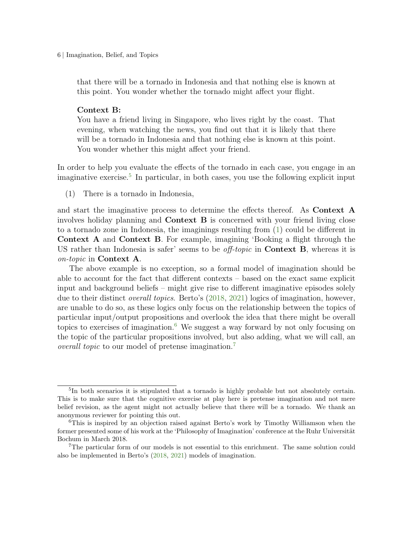6 | Imagination, Belief, and Topics

that there will be a tornado in Indonesia and that nothing else is known at this point. You wonder whether the tornado might affect your flight.

#### Context B:

You have a friend living in Singapore, who lives right by the coast. That evening, when watching the news, you find out that it is likely that there will be a tornado in Indonesia and that nothing else is known at this point. You wonder whether this might affect your friend.

In order to help you evaluate the effects of the tornado in each case, you engage in an imaginative exercise.<sup>[5](#page-5-0)</sup> In particular, in both cases, you use the following explicit input

<span id="page-5-1"></span>(1) There is a tornado in Indonesia,

and start the imaginative process to determine the effects thereof. As Context A involves holiday planning and Context B is concerned with your friend living close to a tornado zone in Indonesia, the imaginings resulting from [\(1\)](#page-5-1) could be different in Context A and Context B. For example, imagining 'Booking a flight through the US rather than Indonesia is safer' seems to be *off-topic* in **Context B**, whereas it is on-topic in Context A.

The above example is no exception, so a formal model of imagination should be able to account for the fact that different contexts – based on the exact same explicit input and background beliefs – might give rise to different imaginative episodes solely due to their distinct overall topics. Berto's [\(2018,](#page-29-0) [2021\)](#page-29-1) logics of imagination, however, are unable to do so, as these logics only focus on the relationship between the topics of particular input/output propositions and overlook the idea that there might be overall topics to exercises of imagination.<sup>[6](#page-5-2)</sup> We suggest a way forward by not only focusing on the topic of the particular propositions involved, but also adding, what we will call, an overall topic to our model of pretense imagination.<sup>[7](#page-5-3)</sup>

<span id="page-5-0"></span><sup>&</sup>lt;sup>5</sup>In both scenarios it is stipulated that a tornado is highly probable but not absolutely certain. This is to make sure that the cognitive exercise at play here is pretense imagination and not mere belief revision, as the agent might not actually believe that there will be a tornado. We thank an anonymous reviewer for pointing this out.

<span id="page-5-2"></span><sup>6</sup>This is inspired by an objection raised against Berto's work by Timothy Williamson when the former presented some of his work at the 'Philosophy of Imagination' conference at the Ruhr Universität Bochum in March 2018.

<span id="page-5-3"></span><sup>7</sup>The particular form of our models is not essential to this enrichment. The same solution could also be implemented in Berto's [\(2018,](#page-29-0) [2021\)](#page-29-1) models of imagination.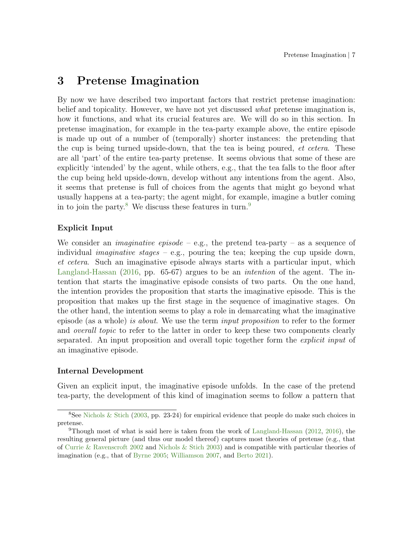# <span id="page-6-2"></span>3 Pretense Imagination

By now we have described two important factors that restrict pretense imagination: belief and topicality. However, we have not yet discussed *what* pretense imagination is, how it functions, and what its crucial features are. We will do so in this section. In pretense imagination, for example in the tea-party example above, the entire episode is made up out of a number of (temporally) shorter instances: the pretending that the cup is being turned upside-down, that the tea is being poured, et cetera. These are all 'part' of the entire tea-party pretense. It seems obvious that some of these are explicitly 'intended' by the agent, while others, e.g., that the tea falls to the floor after the cup being held upside-down, develop without any intentions from the agent. Also, it seems that pretense is full of choices from the agents that might go beyond what usually happens at a tea-party; the agent might, for example, imagine a butler coming in to join the party.<sup>[8](#page-6-0)</sup> We discuss these features in turn.<sup>[9](#page-6-1)</sup>

### Explicit Input

We consider an *imaginative episode* – e.g., the pretend tea-party – as a sequence of individual *imaginative stages – e.g.*, pouring the tea; keeping the cup upside down, et cetera. Such an imaginative episode always starts with a particular input, which [Langland-Hassan](#page-31-2) [\(2016,](#page-31-2) pp. 65-67) argues to be an *intention* of the agent. The intention that starts the imaginative episode consists of two parts. On the one hand, the intention provides the proposition that starts the imaginative episode. This is the proposition that makes up the first stage in the sequence of imaginative stages. On the other hand, the intention seems to play a role in demarcating what the imaginative episode (as a whole) is about. We use the term input proposition to refer to the former and *overall topic* to refer to the latter in order to keep these two components clearly separated. An input proposition and overall topic together form the explicit input of an imaginative episode.

### Internal Development

Given an explicit input, the imaginative episode unfolds. In the case of the pretend tea-party, the development of this kind of imagination seems to follow a pattern that

<span id="page-6-0"></span><sup>&</sup>lt;sup>8</sup>See Nichols  $\&$  Stich [\(2003,](#page-31-0) pp. 23-24) for empirical evidence that people do make such choices in pretense.

<span id="page-6-1"></span><sup>&</sup>lt;sup>9</sup>Though most of what is said here is taken from the work of [Langland-Hassan](#page-31-1) [\(2012,](#page-31-1) [2016\)](#page-31-2), the resulting general picture (and thus our model thereof) captures most theories of pretense (e.g., that of [Currie & Ravenscroft](#page-30-0) [2002](#page-30-0) and [Nichols & Stich](#page-31-0) [2003\)](#page-31-0) and is compatible with particular theories of imagination (e.g., that of [Byrne](#page-30-1) [2005;](#page-30-1) [Williamson](#page-32-0) [2007,](#page-32-0) and [Berto](#page-29-1) [2021\)](#page-29-1).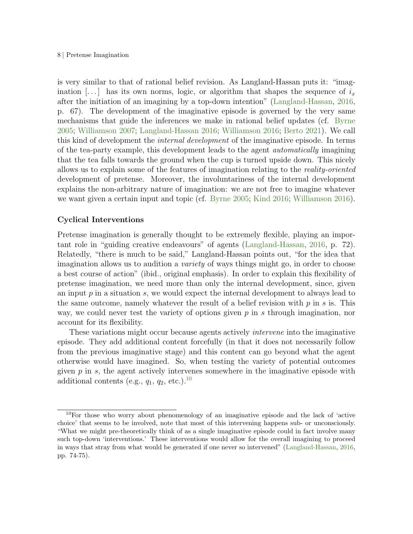#### 8 | Pretense Imagination

is very similar to that of rational belief revision. As Langland-Hassan puts it: "imagination [...] has its own norms, logic, or algorithm that shapes the sequence of  $i_x$ after the initiation of an imagining by a top-down intention" [\(Langland-Hassan,](#page-31-2) [2016,](#page-31-2) p. 67). The development of the imaginative episode is governed by the very same mechanisms that guide the inferences we make in rational belief updates (cf. [Byrne](#page-30-1) [2005;](#page-30-1) [Williamson](#page-32-0) [2007;](#page-32-0) [Langland-Hassan](#page-31-2) [2016;](#page-31-2) [Williamson](#page-32-1) [2016;](#page-32-1) [Berto](#page-29-1) [2021\)](#page-29-1). We call this kind of development the internal development of the imaginative episode. In terms of the tea-party example, this development leads to the agent automatically imagining that the tea falls towards the ground when the cup is turned upside down. This nicely allows us to explain some of the features of imagination relating to the reality-oriented development of pretense. Moreover, the involuntariness of the internal development explains the non-arbitrary nature of imagination: we are not free to imagine whatever we want given a certain input and topic (cf. [Byrne](#page-30-1) [2005;](#page-30-1) [Kind](#page-30-8) [2016;](#page-30-8) [Williamson](#page-32-1) [2016\)](#page-32-1).

### Cyclical Interventions

Pretense imagination is generally thought to be extremely flexible, playing an important role in "guiding creative endeavours" of agents [\(Langland-Hassan,](#page-31-2) [2016,](#page-31-2) p. 72). Relatedly, "there is much to be said," Langland-Hassan points out, "for the idea that imagination allows us to audition a *variety* of ways things might go, in order to choose a best course of action" (ibid., original emphasis). In order to explain this flexibility of pretense imagination, we need more than only the internal development, since, given an input  $p$  in a situation  $s$ , we would expect the internal development to always lead to the same outcome, namely whatever the result of a belief revision with  $p$  in  $s$  is. This way, we could never test the variety of options given  $p$  in s through imagination, nor account for its flexibility.

These variations might occur because agents actively intervene into the imaginative episode. They add additional content forcefully (in that it does not necessarily follow from the previous imaginative stage) and this content can go beyond what the agent otherwise would have imagined. So, when testing the variety of potential outcomes given  $p$  in  $s$ , the agent actively intervenes somewhere in the imaginative episode with additional contents (e.g.,  $q_1$ ,  $q_2$ , etc.).<sup>[10](#page-7-0)</sup>

<span id="page-7-0"></span><sup>10</sup>For those who worry about phenomenology of an imaginative episode and the lack of 'active choice' that seems to be involved, note that most of this intervening happens sub- or unconsciously. "What we might pre-theoretically think of as a single imaginative episode could in fact involve many such top-down 'interventions.' These interventions would allow for the overall imagining to proceed in ways that stray from what would be generated if one never so intervened" [\(Langland-Hassan,](#page-31-2) [2016,](#page-31-2) pp. 74-75).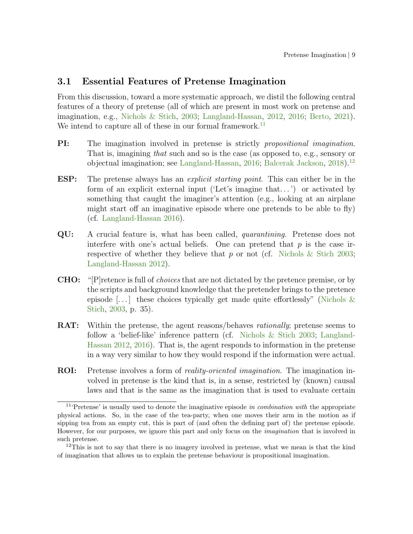# 3.1 Essential Features of Pretense Imagination

From this discussion, toward a more systematic approach, we distil the following central features of a theory of pretense (all of which are present in most work on pretense and imagination, e.g., [Nichols & Stich,](#page-31-0) [2003;](#page-31-0) [Langland-Hassan,](#page-31-1) [2012,](#page-31-1) [2016;](#page-31-2) [Berto,](#page-29-1) [2021\)](#page-29-1). We intend to capture all of these in our formal framework.<sup>[11](#page-8-0)</sup>

- **PI:** The imagination involved in pretense is strictly *propositional imagination*. That is, imagining that such and so is the case (as opposed to, e.g., sensory or objectual imagination; see [Langland-Hassan,](#page-31-2) [2016;](#page-31-2) [Balcerak Jackson,](#page-29-4) [2018\)](#page-29-4).[12](#page-8-1)
- ESP: The pretense always has an explicit starting point. This can either be in the form of an explicit external input ('Let's imagine that. . . ') or activated by something that caught the imaginer's attention (e.g., looking at an airplane might start off an imaginative episode where one pretends to be able to fly) (cf. [Langland-Hassan](#page-31-2) [2016\)](#page-31-2).
- QU: A crucial feature is, what has been called, quarantining. Pretense does not interfere with one's actual beliefs. One can pretend that  $p$  is the case irrespective of whether they believe that p or not (cf. Nichols  $\&$  Stich [2003;](#page-31-0) [Langland-Hassan](#page-31-1) [2012\)](#page-31-1).
- CHO: "[P]retence is full of choices that are not dictated by the pretence premise, or by the scripts and background knowledge that the pretender brings to the pretence episode [...] these choices typically get made quite effortlessly" (Nichols  $\&$ [Stich,](#page-31-0) [2003,](#page-31-0) p. 35).
- **RAT:** Within the pretense, the agent reasons/behaves *rationally*; pretense seems to follow a 'belief-like' inference pattern (cf. [Nichols & Stich](#page-31-0) [2003;](#page-31-0) [Langland-](#page-31-1)[Hassan](#page-31-1) [2012,](#page-31-1) [2016\)](#page-31-2). That is, the agent responds to information in the pretense in a way very similar to how they would respond if the information were actual.
- ROI: Pretense involves a form of reality-oriented imagination. The imagination involved in pretense is the kind that is, in a sense, restricted by (known) causal laws and that is the same as the imagination that is used to evaluate certain

<span id="page-8-0"></span><sup>&</sup>lt;sup>11</sup>'Pretense' is usually used to denote the imaginative episode in combination with the appropriate physical actions. So, in the case of the tea-party, when one moves their arm in the motion as if sipping tea from an empty cut, this is part of (and often the defining part of) the pretense episode. However, for our purposes, we ignore this part and only focus on the imagination that is involved in such pretense.

<span id="page-8-1"></span><sup>&</sup>lt;sup>12</sup>This is not to say that there is no imagery involved in pretense, what we mean is that the kind of imagination that allows us to explain the pretense behaviour is propositional imagination.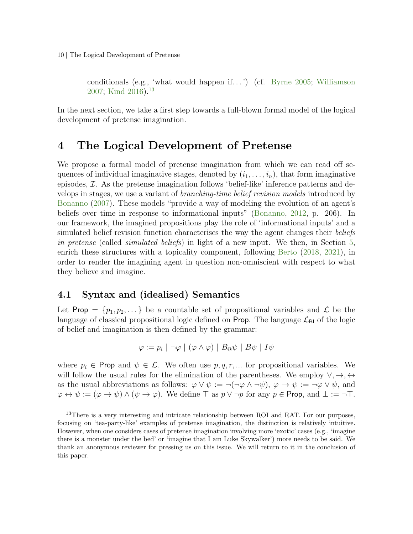10 | The Logical Development of Pretense

conditionals (e.g., 'what would happen if. . . ') (cf. [Byrne](#page-30-1) [2005;](#page-30-1) [Williamson](#page-32-0) [2007;](#page-32-0) [Kind](#page-30-8) [2016\)](#page-30-8).[13](#page-9-1)

In the next section, we take a first step towards a full-blown formal model of the logical development of pretense imagination.

# <span id="page-9-0"></span>4 The Logical Development of Pretense

We propose a formal model of pretense imagination from which we can read off sequences of individual imaginative stages, denoted by  $(i_1, \ldots, i_n)$ , that form imaginative episodes,  $\mathcal{I}$ . As the pretense imagination follows 'belief-like' inference patterns and develops in stages, we use a variant of branching-time belief revision models introduced by [Bonanno](#page-29-5) [\(2007\)](#page-29-5). These models "provide a way of modeling the evolution of an agent's beliefs over time in response to informational inputs" [\(Bonanno,](#page-29-6) [2012,](#page-29-6) p. 206). In our framework, the imagined propositions play the role of 'informational inputs' and a simulated belief revision function characterises the way the agent changes their beliefs in pretense (called *simulated beliefs*) in light of a new input. We then, in Section [5,](#page-19-0) enrich these structures with a topicality component, following [Berto](#page-29-0) [\(2018,](#page-29-0) [2021\)](#page-29-1), in order to render the imagining agent in question non-omniscient with respect to what they believe and imagine.

# <span id="page-9-2"></span>4.1 Syntax and (idealised) Semantics

Let Prop =  $\{p_1, p_2, ...\}$  be a countable set of propositional variables and  $\mathcal L$  be the language of classical propositional logic defined on Prop. The language  $\mathcal{L}_{\text{BI}}$  of the logic of belief and imagination is then defined by the grammar:

$$
\varphi := p_i \mid \neg \varphi \mid (\varphi \land \varphi) \mid B \otimes \psi \mid B \psi \mid I \psi
$$

where  $p_i \in \textsf{Prop}$  and  $\psi \in \mathcal{L}$ . We often use  $p, q, r, \dots$  for propositional variables. We will follow the usual rules for the elimination of the parentheses. We employ  $\vee, \rightarrow, \leftrightarrow$ as the usual abbreviations as follows:  $\varphi \vee \psi := \neg(\neg \varphi \wedge \neg \psi), \varphi \rightarrow \psi := \neg \varphi \vee \psi$ , and  $\varphi \leftrightarrow \psi := (\varphi \rightarrow \psi) \land (\psi \rightarrow \varphi)$ . We define  $\top$  as  $p \lor \neg p$  for any  $p \in \text{Prop}$ , and  $\bot := \neg \top$ .

<span id="page-9-1"></span><sup>&</sup>lt;sup>13</sup>There is a very interesting and intricate relationship between ROI and RAT. For our purposes, focusing on 'tea-party-like' examples of pretense imagination, the distinction is relatively intuitive. However, when one considers cases of pretense imagination involving more 'exotic' cases (e.g., 'imagine there is a monster under the bed' or 'imagine that I am Luke Skywalker') more needs to be said. We thank an anonymous reviewer for pressing us on this issue. We will return to it in the conclusion of this paper.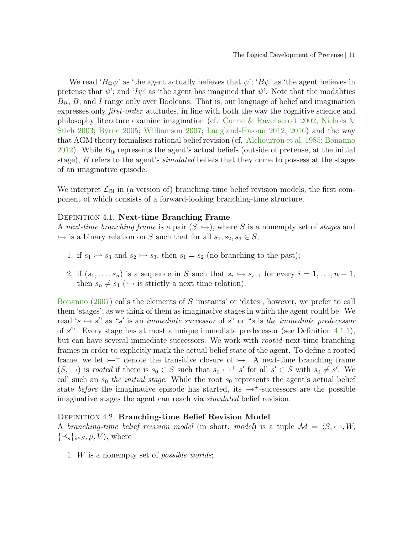We read ' $B_{\mathcal{Q}}\psi$ ' as 'the agent actually believes that  $\psi$ '; ' $B\psi$ ' as 'the agent believes in pretense that  $\psi$ ; and ' $I\psi$ ' as 'the agent has imagined that  $\psi$ '. Note that the modalities  $B_{\mathfrak{A}}$ ,  $B$ , and I range only over Booleans. That is, our language of belief and imagination expresses only *first-order* attitudes, in line with both the way the cognitive science and philosophy literature examine imagination (cf. [Currie & Ravenscroft](#page-30-0) [2002;](#page-30-0) [Nichols &](#page-31-0) [Stich](#page-31-0) [2003;](#page-31-0) [Byrne](#page-30-1) [2005;](#page-30-1) [Williamson](#page-32-0) [2007;](#page-32-0) [Langland-Hassan](#page-31-1) [2012,](#page-31-1) [2016\)](#page-31-2) and the way that AGM theory formalises rational belief revision (cf. Alchourrón et al. [1985;](#page-29-7) [Bonanno](#page-29-6) [2012\)](#page-29-6). While  $B_{\mathcal{Q}}$  represents the agent's actual beliefs (outside of pretense, at the initial stage), B refers to the agent's *simulated* beliefs that they come to possess at the stages of an imaginative episode.

We interpret  $\mathcal{L}_{\text{BI}}$  in (a version of) branching-time belief revision models, the first component of which consists of a forward-looking branching-time structure.

#### <span id="page-10-0"></span>DEFINITION 4.1. Next-time Branching Frame

A next-time branching frame is a pair  $(S,\rightarrow)$ , where S is a nonempty set of stages and  $\rightarrowtail$  is a binary relation on S such that for all  $s_1, s_2, s_3 \in S$ ,

- <span id="page-10-1"></span>1. if  $s_1 \rightarrow s_3$  and  $s_2 \rightarrow s_3$ , then  $s_1 = s_2$  (no branching to the past);
- 2. if  $(s_1, \ldots, s_n)$  is a sequence in S such that  $s_i \rightarrow s_{i+1}$  for every  $i = 1, \ldots, n-1$ , then  $s_n \neq s_1 \; (\rightarrowtail \text{ is strictly a next time relation}).$

[Bonanno](#page-29-5) [\(2007\)](#page-29-5) calls the elements of  $S$  'instants' or 'dates', however, we prefer to call them 'stages', as we think of them as imaginative stages in which the agent could be. We read 's  $\rightarrow$  s'' as "s' is an *immediate successor* of s" or "s is the *immediate predecessor* of s'". Every stage has at most a unique immediate predecessor (see Definition [4.1.](#page-10-0)[1\)](#page-10-1), but can have several immediate successors. We work with rooted next-time branching frames in order to explicitly mark the actual belief state of the agent. To define a rooted frame, we let  $\rightarrow$ <sup>+</sup> denote the transitive closure of  $\rightarrow$ . A next-time branching frame  $(S, \rightarrow)$  is rooted if there is  $s_0 \in S$  such that  $s_0 \rightarrow s'$  for all  $s' \in S$  with  $s_0 \neq s'$ . We call such an  $s_0$  the *initial stage*. While the root  $s_0$  represents the agent's actual belief state *before* the imaginative episode has started, its  $\rightarrow$ <sup>+</sup>-successors are the possible imaginative stages the agent can reach via simulated belief revision.

#### <span id="page-10-2"></span>DEFINITION 4.2. Branching-time Belief Revision Model

A branching-time belief revision model (in short, model) is a tuple  $\mathcal{M} = \langle S, \rightarrow, W, \rangle$  $\{\preceq_s\}_{s\in S}, \mu, V$ , where

1. W is a nonempty set of possible worlds;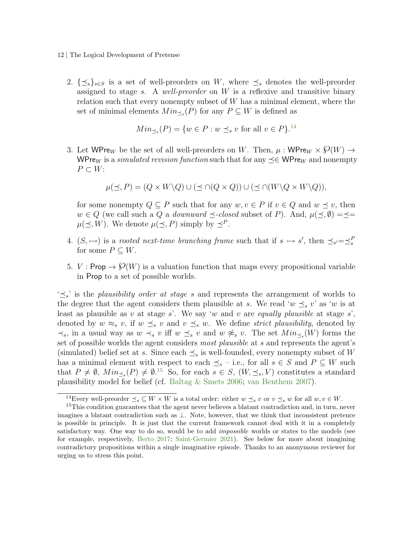- 12 | The Logical Development of Pretense
	- 2.  $\{\preceq_s\}_{s\in S}$  is a set of well-preorders on W, where  $\preceq_s$  denotes the well-preorder assigned to stage s. A well-preorder on  $W$  is a reflexive and transitive binary relation such that every nonempty subset of  $W$  has a minimal element, where the set of minimal elements  $Min_{\leq s}(P)$  for any  $P \subseteq W$  is defined as

$$
Min_{\preceq s}(P) = \{w \in P : w \preceq_s v \text{ for all } v \in P\}^{.14}
$$

<span id="page-11-3"></span>3. Let WPre<sub>W</sub> be the set of all well-preorders on W. Then,  $\mu$ : WPre<sub>W</sub>  $\times$   $\mathcal{O}(W)$   $\rightarrow$ WPre<sub>W</sub> is a *simulated revision function* such that for any  $\prec \in \mathsf{WPre}_W$  and nonempty  $P \subset W$ :

$$
\mu(\preceq, P) = (Q \times W \backslash Q) \cup (\preceq \cap (Q \times Q)) \cup (\preceq \cap (W \backslash Q \times W \backslash Q)),
$$

for some nonempty  $Q \subseteq P$  such that for any  $w, v \in P$  if  $v \in Q$  and  $w \preceq v$ , then  $w \in Q$  (we call such a Q a *downward*  $\preceq$ -closed subset of P). And,  $\mu(\preceq, \emptyset) = \preceq$  $\mu(\preceq, W)$ . We denote  $\mu(\preceq, P)$  simply by  $\preceq^P$ .

- <span id="page-11-2"></span>4.  $(S, \rightarrowtail)$  is a rooted next-time branching frame such that if  $s \rightarrowtail s'$ , then  $\preceq_{s'} = \preceq_s^F$ for some  $P \subseteq W$ .
- 5. V : Prop  $\rightarrow \mathcal{O}(W)$  is a valuation function that maps every propositional variable in Prop to a set of possible worlds.

 $\leq s$  is the plausibility order at stage s and represents the arrangement of worlds to the degree that the agent considers them plausible at s. We read 'w  $\preceq_s v$ ' as 'w is at least as plausible as v at stage s'. We say 'w and v are equally plausible at stage s', denoted by  $w \approx_s v$ , if  $w \preceq_s v$  and  $v \preceq_s w$ . We define strict plausibility, denoted by  $\prec_s$ , in a usual way as w  $\prec_s v$  iff w  $\preceq_s v$  and w  $\not\approx_s v$ . The set  $Min_{\preceq_s}(W)$  forms the set of possible worlds the agent considers most plausible at s and represents the agent's (simulated) belief set at s. Since each  $\preceq_s$  is well-founded, every nonempty subset of W has a minimal element with respect to each  $\preceq_s$  – i.e., for all  $s \in S$  and  $P \subseteq W$  such that  $P \neq \emptyset$ ,  $Min_{\preceq s}(P) \neq \emptyset$ .<sup>[15](#page-11-1)</sup> So, for each  $s \in S$ ,  $(W, \preceq_s, V)$  constitutes a standard plausibility model for belief (cf. [Baltag & Smets](#page-29-8) [2006;](#page-29-8) [van Benthem](#page-31-7) [2007\)](#page-31-7).

<span id="page-11-1"></span><span id="page-11-0"></span><sup>&</sup>lt;sup>14</sup>Every well-preorder  $\preceq_s \subseteq W \times W$  is a total order: either  $w \preceq_s v$  or  $v \preceq_s w$  for all  $w, v \in W$ .

<sup>&</sup>lt;sup>15</sup>This condition guarantees that the agent never believes a blatant contradiction and, in turn, never imagines a blatant contradiction such as ⊥. Note, however, that we think that inconsistent pretence is possible in principle. It is just that the current framework cannot deal with it in a completely satisfactory way. One way to do so, would be to add *impossible* worlds or states to the models (see for example, respectively, [Berto](#page-29-9) [2017;](#page-29-9) [Saint-Germier](#page-31-8) [2021\)](#page-31-8). See below for more about imagining contradictory propositions within a single imaginative episode. Thanks to an anonymous reviewer for urging us to stress this point.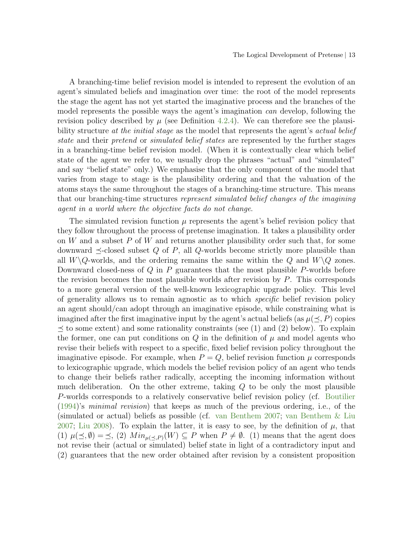A branching-time belief revision model is intended to represent the evolution of an agent's simulated beliefs and imagination over time: the root of the model represents the stage the agent has not yet started the imaginative process and the branches of the model represents the possible ways the agent's imagination *can* develop, following the revision policy described by  $\mu$  (see Definition [4.2.](#page-10-2)[4\)](#page-11-2). We can therefore see the plausibility structure at the *initial stage* as the model that represents the agent's actual belief state and their *pretend* or *simulated belief states* are represented by the further stages in a branching-time belief revision model. (When it is contextually clear which belief state of the agent we refer to, we usually drop the phrases "actual" and "simulated" and say "belief state" only.) We emphasise that the only component of the model that varies from stage to stage is the plausibility ordering and that the valuation of the atoms stays the same throughout the stages of a branching-time structure. This means that our branching-time structures represent simulated belief changes of the imagining agent in a world where the objective facts do not change.

The simulated revision function  $\mu$  represents the agent's belief revision policy that they follow throughout the process of pretense imagination. It takes a plausibility order on  $W$  and a subset  $P$  of  $W$  and returns another plausibility order such that, for some downward  $\prec$ -closed subset Q of P, all Q-worlds become strictly more plausible than all  $W\backslash Q$ -worlds, and the ordering remains the same within the Q and  $W\backslash Q$  zones. Downward closed-ness of  $Q$  in  $P$  guarantees that the most plausible  $P$ -worlds before the revision becomes the most plausible worlds after revision by  $P$ . This corresponds to a more general version of the well-known lexicographic upgrade policy. This level of generality allows us to remain agnostic as to which specific belief revision policy an agent should/can adopt through an imaginative episode, while constraining what is imagined after the first imaginative input by the agent's actual beliefs (as  $\mu(\leq, P)$  copies  $\prec$  to some extent) and some rationality constraints (see (1) and (2) below). To explain the former, one can put conditions on  $Q$  in the definition of  $\mu$  and model agents who revise their beliefs with respect to a specific, fixed belief revision policy throughout the imaginative episode. For example, when  $P = Q$ , belief revision function  $\mu$  corresponds to lexicographic upgrade, which models the belief revision policy of an agent who tends to change their beliefs rather radically, accepting the incoming information without much deliberation. On the other extreme, taking Q to be only the most plausible P-worlds corresponds to a relatively conservative belief revision policy (cf. [Boutilier](#page-29-10) [\(1994\)](#page-29-10)'s minimal revision) that keeps as much of the previous ordering, i.e., of the (simulated or actual) beliefs as possible (cf. [van Benthem](#page-31-7) [2007;](#page-31-7) [van Benthem & Liu](#page-32-3) [2007;](#page-32-3) [Liu](#page-31-9) [2008\)](#page-31-9). To explain the latter, it is easy to see, by the definition of  $\mu$ , that (1)  $\mu(\leq, \emptyset) = \leq$ , (2)  $Min_{\mu(\prec, P)}(W) \subseteq P$  when  $P \neq \emptyset$ . (1) means that the agent does not revise their (actual or simulated) belief state in light of a contradictory input and (2) guarantees that the new order obtained after revision by a consistent proposition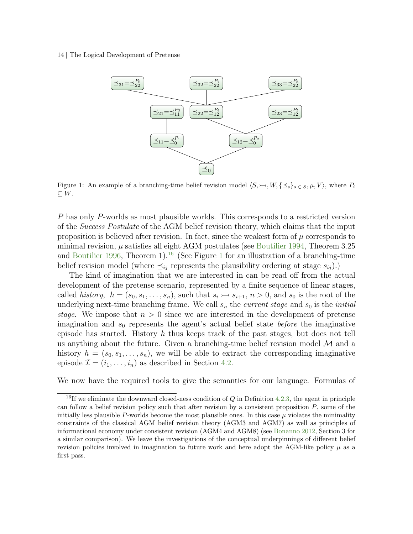#### <span id="page-13-1"></span>14 | The Logical Development of Pretense



Figure 1: An example of a branching-time belief revision model  $\langle S,\rightarrow, W, \{\preceq_s\}_{s\in S}, \mu, V \rangle$ , where  $P_i$  $\subseteq$  W.

P has only P-worlds as most plausible worlds. This corresponds to a restricted version of the Success Postulate of the AGM belief revision theory, which claims that the input proposition is believed after revision. In fact, since the weakest form of  $\mu$  corresponds to minimal revision,  $\mu$  satisfies all eight AGM postulates (see [Boutilier](#page-29-10) [1994,](#page-29-10) Theorem 3.25 and [Boutilier](#page-29-11) [1996,](#page-29-11) Theorem 1).<sup>[16](#page-13-0)</sup> (See Figure [1](#page-13-1) for an illustration of a branching-time belief revision model (where  $\preceq_{ij}$  represents the plausibility ordering at stage  $s_{ij}$ ).)

The kind of imagination that we are interested in can be read off from the actual development of the pretense scenario, represented by a finite sequence of linear stages, called history,  $h = (s_0, s_1, \ldots, s_n)$ , such that  $s_i \rightarrow s_{i+1}, n > 0$ , and  $s_0$  is the root of the underlying next-time branching frame. We call  $s_n$  the *current stage* and  $s_0$  is the *initial* stage. We impose that  $n > 0$  since we are interested in the development of pretense imagination and  $s_0$  represents the agent's actual belief state *before* the imaginative episode has started. History  $h$  thus keeps track of the past stages, but does not tell us anything about the future. Given a branching-time belief revision model  $\mathcal M$  and a history  $h = (s_0, s_1, \ldots, s_n)$ , we will be able to extract the corresponding imaginative episode  $\mathcal{I} = (i_1, \ldots, i_n)$  as described in Section [4.2.](#page-15-0)

We now have the required tools to give the semantics for our language. Formulas of

<span id="page-13-0"></span><sup>&</sup>lt;sup>16</sup>If we eliminate the downward closed-ness condition of  $Q$  in Definition [4.2](#page-10-2)[.3,](#page-11-3) the agent in principle can follow a belief revision policy such that after revision by a consistent proposition  $P$ , some of the initially less plausible  $P$ -worlds become the most plausible ones. In this case  $\mu$  violates the minimality constraints of the classical AGM belief revision theory (AGM3 and AGM7) as well as principles of informational economy under consistent revision (AGM4 and AGM8) (see [Bonanno](#page-29-6) [2012,](#page-29-6) Section 3 for a similar comparison). We leave the investigations of the conceptual underpinnings of different belief revision policies involved in imagination to future work and here adopt the AGM-like policy  $\mu$  as a first pass.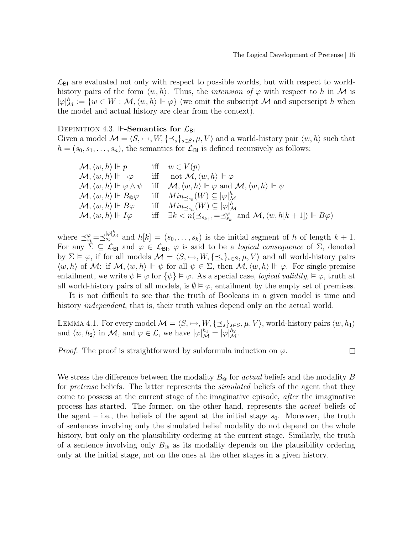$\mathcal{L}_{\text{BI}}$  are evaluated not only with respect to possible worlds, but with respect to worldhistory pairs of the form  $\langle w, h \rangle$ . Thus, the *intension of*  $\varphi$  with respect to h in M is  $|\varphi|_{{\mathcal M}}^h:=\{w\in W:{\mathcal M}, \langle w,h\rangle \Vdash \varphi\}$  (we omit the subscript  ${\mathcal M}$  and superscript h when the model and actual history are clear from the context).

#### <span id="page-14-0"></span>DEFINITION 4.3.  $\mathbb{H}\text{-}\mathbf{Semantics}$  for  $\mathcal{L}_{\mathsf{BI}}$

Given a model  $\mathcal{M} = \langle S, \rightarrow, W, \{\preceq_s\}_{s \in S}, \mu, V \rangle$  and a world-history pair  $\langle w, h \rangle$  such that  $h = (s_0, s_1, \ldots, s_n)$ , the semantics for  $\mathcal{L}_{\text{BI}}$  is defined recursively as follows:

| $\mathcal{M}, \langle w, h \rangle \Vdash p$                     | iff $w \in V(p)$                                                                                                                     |
|------------------------------------------------------------------|--------------------------------------------------------------------------------------------------------------------------------------|
| $\mathcal{M}, \langle w, h \rangle \Vdash \neg \varphi$          | iff not $\mathcal{M}, \langle w, h \rangle \Vdash \varphi$                                                                           |
| $\mathcal{M}, \langle w, h \rangle \Vdash \varphi \wedge \psi$   | iff $\mathcal{M}, \langle w, h \rangle \Vdash \varphi$ and $\mathcal{M}, \langle w, h \rangle \Vdash \psi$                           |
| $\mathcal{M}, \langle w, h \rangle \Vdash B_{\mathbb{Q}}\varphi$ | iff $Min_{\preceq_{s_0}}(W) \subseteq  \varphi _{{\mathcal M}}^h$                                                                    |
| $\mathcal{M}, \langle w, h \rangle \Vdash B\varphi$              | iff $Min_{\preceq_{sn}}(W) \subseteq  \varphi _M^h$                                                                                  |
| $\mathcal{M}, \langle w, h \rangle \Vdash I\varphi$              | iff $\exists k < n(\preceq_{s_{k+1}} = \preceq_{s_k}^{\varphi} \text{ and } \mathcal{M}, \langle w, h[k+1] \rangle \Vdash B\varphi)$ |

where  $\preceq_{s_k}^{\varphi}=\preceq_{s_k}^{|\varphi|^h}$  and  $h[k]=(s_0,\ldots,s_k)$  is the initial segment of h of length  $k+1$ . For any  $\Sigma \subseteq \mathcal{L}_{\text{BI}}$  and  $\varphi \in \mathcal{L}_{\text{BI}}$ ,  $\varphi$  is said to be a *logical consequence* of  $\Sigma$ , denoted by  $\Sigma \models \varphi$ , if for all models  $\mathcal{M} = \langle S, \rightarrow, W, \{\preceq_s\}_{s \in S}, \mu, V \rangle$  and all world-history pairs  $\langle w, h \rangle$  of M: if  $\mathcal{M}, \langle w, h \rangle \Vdash \psi$  for all  $\psi \in \Sigma$ , then  $\mathcal{M}, \langle w, h \rangle \Vdash \varphi$ . For single-premise entailment, we write  $\psi \models \varphi$  for  $\{\psi\} \models \varphi$ . As a special case, *logical validity*,  $\models \varphi$ , truth at all world-history pairs of all models, is  $\emptyset \models \varphi$ , entailment by the empty set of premises.

It is not difficult to see that the truth of Booleans in a given model is time and history independent, that is, their truth values depend only on the actual world.

LEMMA 4.1. For every model  $\mathcal{M} = \langle S, \rightarrow, W, \{\preceq_s\}_{s \in S}, \mu, V \rangle$ , world-history pairs  $\langle w, h_1 \rangle$ and  $\langle w, h_2 \rangle$  in M, and  $\varphi \in \mathcal{L}$ , we have  $|\varphi|_{\mathcal{M}}^{h_1} = |\varphi|_{\mathcal{M}}^{h_2}$ .

*Proof.* The proof is straightforward by subformula induction on  $\varphi$ .

 $\Box$ 

We stress the difference between the modality  $B_{\mathcal{Q}}$  for actual beliefs and the modality B for *pretense* beliefs. The latter represents the *simulated* beliefs of the agent that they come to possess at the current stage of the imaginative episode, after the imaginative process has started. The former, on the other hand, represents the actual beliefs of the agent – i.e., the beliefs of the agent at the initial stage  $s_0$ . Moreover, the truth of sentences involving only the simulated belief modality do not depend on the whole history, but only on the plausibility ordering at the current stage. Similarly, the truth of a sentence involving only  $B_{\odot}$  as its modality depends on the plausibility ordering only at the initial stage, not on the ones at the other stages in a given history.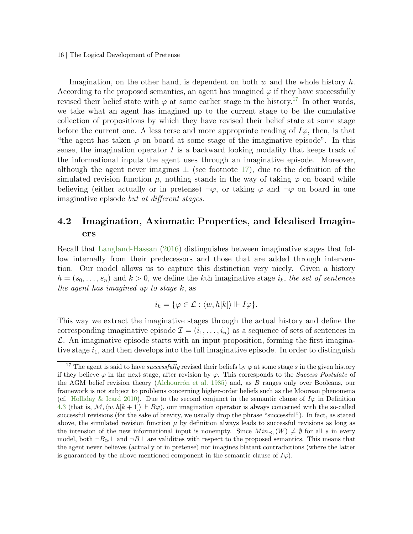16 | The Logical Development of Pretense

Imagination, on the other hand, is dependent on both  $w$  and the whole history  $h$ . According to the proposed semantics, an agent has imagined  $\varphi$  if they have successfully revised their belief state with  $\varphi$  at some earlier stage in the history.<sup>[17](#page-15-1)</sup> In other words, we take what an agent has imagined up to the current stage to be the cumulative collection of propositions by which they have revised their belief state at some stage before the current one. A less terse and more appropriate reading of  $I\varphi$ , then, is that "the agent has taken  $\varphi$  on board at some stage of the imaginative episode". In this sense, the imagination operator  $I$  is a backward looking modality that keeps track of the informational inputs the agent uses through an imaginative episode. Moreover, although the agent never imagines  $\perp$  (see footnote [17\)](#page-15-1), due to the definition of the simulated revision function  $\mu$ , nothing stands in the way of taking  $\varphi$  on board while believing (either actually or in pretense)  $\neg \varphi$ , or taking  $\varphi$  and  $\neg \varphi$  on board in one imaginative episode but at different stages.

# <span id="page-15-0"></span>4.2 Imagination, Axiomatic Properties, and Idealised Imaginers

Recall that [Langland-Hassan](#page-31-2) [\(2016\)](#page-31-2) distinguishes between imaginative stages that follow internally from their predecessors and those that are added through intervention. Our model allows us to capture this distinction very nicely. Given a history  $h = (s_0, \ldots, s_n)$  and  $k > 0$ , we define the kth imaginative stage  $i_k$ , the set of sentences the agent has imagined up to stage k, as

$$
i_k = \{ \varphi \in \mathcal{L} : \langle w, h[k] \rangle \Vdash I\varphi \}.
$$

This way we extract the imaginative stages through the actual history and define the corresponding imaginative episode  $\mathcal{I} = (i_1, \ldots, i_n)$  as a sequence of sets of sentences in  $\mathcal{L}$ . An imaginative episode starts with an input proposition, forming the first imaginative stage  $i_1$ , and then develops into the full imaginative episode. In order to distinguish

<span id="page-15-1"></span><sup>&</sup>lt;sup>17</sup> The agent is said to have *successfully* revised their beliefs by  $\varphi$  at some stage s in the given history if they believe  $\varphi$  in the next stage, after revision by  $\varphi$ . This corresponds to the Success Postulate of the AGM belief revision theory (Alchourrón et al. [1985\)](#page-29-7) and, as  $B$  ranges only over Booleans, our framework is not subject to problems concerning higher-order beliefs such as the Moorean phenomena (cf. [Holliday & Icard](#page-30-9) [2010\)](#page-30-9). Due to the second conjunct in the semantic clause of  $I\varphi$  in Definition [4.3](#page-14-0) (that is,  $\mathcal{M}, \langle w, h[k+1] \rangle \Vdash B\varphi$ ), our imagination operator is always concerned with the so-called successful revisions (for the sake of brevity, we usually drop the phrase "successful"). In fact, as stated above, the simulated revision function  $\mu$  by definition always leads to successful revisions as long as the intension of the new informational input is nonempty. Since  $Min_{\preceq_s}(W) \neq \emptyset$  for all s in every model, both  $\neg B_{\mathcal{Q}}\bot$  and  $\neg B\bot$  are validities with respect to the proposed semantics. This means that the agent never believes (actually or in pretense) nor imagines blatant contradictions (where the latter is guaranteed by the above mentioned component in the semantic clause of  $I\varphi$ .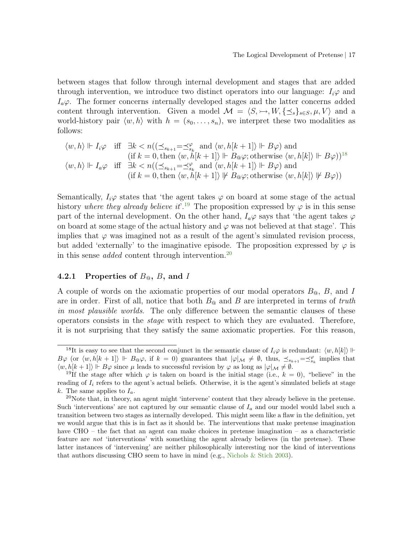between stages that follow through internal development and stages that are added through intervention, we introduce two distinct operators into our language:  $I_i\varphi$  and  $I_a\varphi$ . The former concerns internally developed stages and the latter concerns added content through intervention. Given a model  $\mathcal{M} = \langle S, \rightarrow, W, \{\preceq_s\}_{s \in S}, \mu, V \rangle$  and a world-history pair  $\langle w, h \rangle$  with  $h = (s_0, \ldots, s_n)$ , we interpret these two modalities as follows:

$$
\langle w, h \rangle \Vdash I_i \varphi \quad \text{iff} \quad \exists k < n((\preceq_{s_{k+1}} = \preceq_{s_k}^{\varphi} \text{ and } \langle w, h[k+1] \rangle \Vdash B\varphi) \text{ and } \\
(\text{if } k = 0, \text{ then } \langle w, h[k+1] \rangle \Vdash B_{\textcircled{\tiny\#}} \varphi; \text{otherwise } \langle w, h[k] \rangle \Vdash B\varphi))^{18} \\
\langle w, h \rangle \Vdash I_a \varphi \quad \text{iff} \quad \exists k < n((\preceq_{s_{k+1}} = \preceq_{s_k}^{\varphi} \text{ and } \langle w, h[k+1] \rangle \Vdash B\varphi) \text{ and } \\
(\text{if } k = 0, \text{ then } \langle w, h[k+1] \rangle \Vdash B_{\textcircled{\tiny\#}} \varphi; \text{otherwise } \langle w, h[k] \rangle \Vdash B\varphi))
$$

Semantically,  $I_i\varphi$  states that 'the agent takes  $\varphi$  on board at some stage of the actual history where they already believe it.<sup>[19](#page-16-1)</sup> The proposition expressed by  $\varphi$  is in this sense part of the internal development. On the other hand,  $I_a\varphi$  says that 'the agent takes  $\varphi$ on board at some stage of the actual history and  $\varphi$  was not believed at that stage'. This implies that  $\varphi$  was imagined not as a result of the agent's simulated revision process, but added 'externally' to the imaginative episode. The proposition expressed by  $\varphi$  is in this sense *added* content through intervention.<sup>[20](#page-16-2)</sup>

### <span id="page-16-3"></span>4.2.1 Properties of  $B_{\mathfrak{g}}, B$ , and I

A couple of words on the axiomatic properties of our modal operators  $B_{\mathfrak{Q}}, B$ , and I are in order. First of all, notice that both  $B_{\mathbb{Q}}$  and B are interpreted in terms of truth in most plausible worlds. The only difference between the semantic clauses of these operators consists in the stage with respect to which they are evaluated. Therefore, it is not surprising that they satisfy the same axiomatic properties. For this reason,

<span id="page-16-0"></span><sup>&</sup>lt;sup>18</sup>It is easy to see that the second conjunct in the semantic clause of  $I_i\varphi$  is redundant:  $\langle w, h[k] \rangle \Vdash$  $B\varphi$  (or  $\langle w, h[k+1] \rangle \Vdash B_0\varphi$ , if  $k = 0$ ) guarantees that  $|\varphi|_{\mathcal{M}} \neq \emptyset$ , thus,  $\preceq_{s_{k+1}} = \preceq_{s_k}^{\varphi}$  implies that  $\langle w, h[k+1] \rangle \Vdash B\varphi$  since  $\mu$  leads to successful revision by  $\varphi$  as long as  $|\varphi|_{\mathcal{M}} \neq \emptyset$ .

<span id="page-16-1"></span><sup>&</sup>lt;sup>19</sup>If the stage after which  $\varphi$  is taken on board is the initial stage (i.e.,  $k = 0$ ), "believe" in the reading of  $I_i$  refers to the agent's actual beliefs. Otherwise, it is the agent's simulated beliefs at stage k. The same applies to  $I_a$ .

<span id="page-16-2"></span><sup>20</sup>Note that, in theory, an agent might 'intervene' content that they already believe in the pretense. Such 'interventions' are not captured by our semantic clause of  $I_a$  and our model would label such a transition between two stages as internally developed. This might seem like a flaw in the definition, yet we would argue that this is in fact as it should be. The interventions that make pretense imagination have CHO – the fact that an agent can make choices in pretense imagination – as a characteristic feature are not 'interventions' with something the agent already believes (in the pretense). These latter instances of 'intervening' are neither philosophically interesting nor the kind of interventions that authors discussing CHO seem to have in mind (e.g., [Nichols & Stich](#page-31-0) [2003\)](#page-31-0).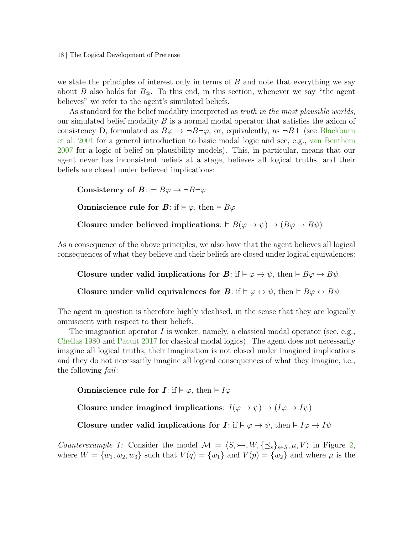18 | The Logical Development of Pretense

we state the principles of interest only in terms of  $B$  and note that everything we say about B also holds for  $B_{\mathcal{Q}}$ . To this end, in this section, whenever we say "the agent believes" we refer to the agent's simulated beliefs.

As standard for the belief modality interpreted as *truth in the most plausible worlds*, our simulated belief modality  $B$  is a normal modal operator that satisfies the axiom of consistency D, formulated as  $B\varphi \to \neg B\neg \varphi$ , or, equivalently, as  $\neg B \bot$  (see [Blackburn](#page-29-12) [et al.](#page-29-12) [2001](#page-29-12) for a general introduction to basic modal logic and see, e.g., [van Benthem](#page-31-7) [2007](#page-31-7) for a logic of belief on plausibility models). This, in particular, means that our agent never has inconsistent beliefs at a stage, believes all logical truths, and their beliefs are closed under believed implications:

Consistency of  $B: \models B\varphi \rightarrow \neg B\neg \varphi$ **Omniscience rule for B:** if  $\models \varphi$ , then  $\models B\varphi$ Closure under believed implications:  $\vdash B(\varphi \to \psi) \to (B\varphi \to B\psi)$ 

As a consequence of the above principles, we also have that the agent believes all logical consequences of what they believe and their beliefs are closed under logical equivalences:

Closure under valid implications for  $\mathbf{B}$ : if  $\models \varphi \rightarrow \psi$ , then  $\models B\varphi \rightarrow B\psi$ 

Closure under valid equivalences for  $\mathbf{B}$ : if  $\models \varphi \leftrightarrow \psi$ , then  $\models B\varphi \leftrightarrow B\psi$ 

The agent in question is therefore highly idealised, in the sense that they are logically omniscient with respect to their beliefs.

The imagination operator I is weaker, namely, a classical modal operator (see, e.g., [Chellas](#page-30-10) [1980](#page-30-10) and [Pacuit](#page-31-10) [2017](#page-31-10) for classical modal logics). The agent does not necessarily imagine all logical truths, their imagination is not closed under imagined implications and they do not necessarily imagine all logical consequences of what they imagine, i.e., the following fail:

Omniscience rule for  $I: \text{if } \vDash \varphi, \text{ then } \vDash I\varphi$ 

Closure under imagined implications:  $I(\varphi \to \psi) \to (I \varphi \to I \psi)$ 

Closure under valid implications for  $I: \text{if } \vDash \varphi \to \psi$ , then  $\vDash I\varphi \to I\psi$ 

Counterexample 1: Consider the model  $\mathcal{M} = \langle S, \rightarrow, W, \{\preceq_s\}_{s \in S}, \mu, V \rangle$  in Figure [2,](#page-18-0) where  $W = \{w_1, w_2, w_3\}$  such that  $V(q) = \{w_1\}$  and  $V(p) = \{w_2\}$  and where  $\mu$  is the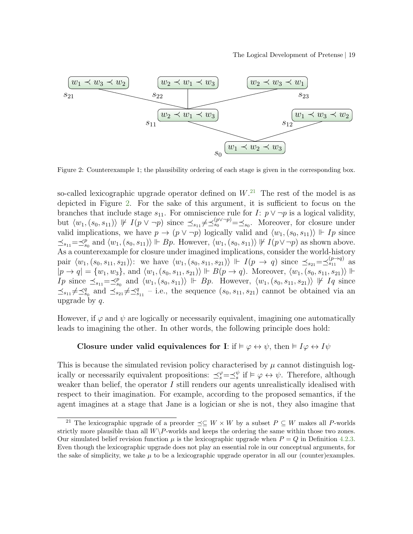#### The Logical Development of Pretense | 19

<span id="page-18-0"></span>

Figure 2: Counterexample 1; the plausibility ordering of each stage is given in the corresponding box.

so-called lexicographic upgrade operator defined on  $W<sup>21</sup>$  $W<sup>21</sup>$  $W<sup>21</sup>$ . The rest of the model is as depicted in Figure [2.](#page-18-0) For the sake of this argument, it is sufficient to focus on the branches that include stage  $s_{11}$ . For omniscience rule for  $I: p \vee \neg p$  is a logical validity, but  $\langle w_1, (s_0, s_{11}) \rangle \not\Vdash I(p \vee \neg p)$  since  $\preceq_{s_{11}} \neq \preceq_{s_0}^{(p \vee \neg p)} = \preceq_{s_0}$ . Moreover, for closure under valid implications, we have  $p \to (p \lor \neg p)$  logically valid and  $\langle w_1, (s_0, s_{11}) \rangle \Vdash Ip$  since  $\preceq_{s_11} = \preceq_{s_0}^p$  and  $\langle w_1, (s_0, s_{11}) \rangle \Vdash Bp$ . However,  $\langle w_1, (s_0, s_{11}) \rangle \Vdash I(p \vee \neg p)$  as shown above. As a counterexample for closure under imagined implications, consider the world-history pair  $\langle w_1, (s_0, s_{11}, s_{21}) \rangle$ : we have  $\langle w_1, (s_0, s_{11}, s_{21}) \rangle$   $\Vdash I(p \to q)$  since  $\preceq_{s_{21}} = \preceq_{s_{11}}^{(p \to q)}$  as  $|p \to q| = \{w_1, w_3\}$ , and  $\langle w_1, (s_0, s_{11}, s_{21})\rangle \Vdash B(p \to q)$ . Moreover,  $\langle w_1, (s_0, s_{11}, s_{21})\rangle \Vdash$ Ip since  $\preceq_{s_{11}} = \preceq_{s_0}^p$  and  $\langle w_1, (s_0, s_{11}) \rangle$   $\Vdash$  Bp. However,  $\langle w_1, (s_0, s_{11}, s_{21}) \rangle \nvDash Iq$  since  $\preceq_{s_11} \neq \preceq_{s_0}^q$  and  $\preceq_{s_21} \neq \preceq_{s_11}^q$  - i.e., the sequence  $(s_0, s_{11}, s_{21})$  cannot be obtained via an upgrade by  $q$ .

However, if  $\varphi$  and  $\psi$  are logically or necessarily equivalent, imagining one automatically leads to imagining the other. In other words, the following principle does hold:

### Closure under valid equivalences for I: if  $\models \varphi \leftrightarrow \psi$ , then  $\models I\varphi \leftrightarrow I\psi$

This is because the simulated revision policy characterised by  $\mu$  cannot distinguish logically or necessarily equivalent propositions:  $\preceq_s^\varphi = \preceq_s^\psi$  if  $\models \varphi \leftrightarrow \psi$ . Therefore, although weaker than belief, the operator I still renders our agents unrealistically idealised with respect to their imagination. For example, according to the proposed semantics, if the agent imagines at a stage that Jane is a logician or she is not, they also imagine that

<span id="page-18-1"></span><sup>&</sup>lt;sup>21</sup> The lexicographic upgrade of a preorder  $\preceq \subseteq W \times W$  by a subset  $P \subseteq W$  makes all P-worlds strictly more plausible than all  $W\backslash P$ -worlds and keeps the ordering the same within those two zones. Our simulated belief revision function  $\mu$  is the lexicographic upgrade when  $P = Q$  in Definition [4.2](#page-10-2)[.3.](#page-11-3) Even though the lexicographic upgrade does not play an essential role in our conceptual arguments, for the sake of simplicity, we take  $\mu$  to be a lexicographic upgrade operator in all our (counter)examples.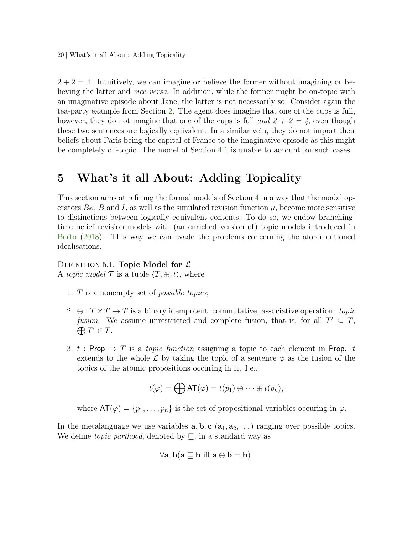20 | What's it all About: Adding Topicality

 $2 + 2 = 4$ . Intuitively, we can imagine or believe the former without imagining or believing the latter and vice versa. In addition, while the former might be on-topic with an imaginative episode about Jane, the latter is not necessarily so. Consider again the tea-party example from Section [2.](#page-1-0) The agent does imagine that one of the cups is full, however, they do not imagine that one of the cups is full and  $2 + 2 = 4$ , even though these two sentences are logically equivalent. In a similar vein, they do not import their beliefs about Paris being the capital of France to the imaginative episode as this might be completely off-topic. The model of Section [4.1](#page-9-2) is unable to account for such cases.

# <span id="page-19-0"></span>5 What's it all About: Adding Topicality

This section aims at refining the formal models of Section [4](#page-9-0) in a way that the modal operators  $B_{\mathfrak{Q}}$ , B and I, as well as the simulated revision function  $\mu$ , become more sensitive to distinctions between logically equivalent contents. To do so, we endow branchingtime belief revision models with (an enriched version of) topic models introduced in [Berto](#page-29-0) [\(2018\)](#page-29-0). This way we can evade the problems concerning the aforementioned idealisations.

#### DEFINITION 5.1. Topic Model for  $\mathcal{L}$

A topic model  $\mathcal T$  is a tuple  $\langle T, \oplus, t \rangle$ , where

- 1. T is a nonempty set of possible topics;
- 2.  $\oplus$ :  $T \times T \to T$  is a binary idempotent, commutative, associative operation: topic fusion. We assume unrestricted and complete fusion, that is, for all  $T' \subseteq T$ ,  $\bigoplus T' \in T$ .
- 3. t : Prop  $\rightarrow T$  is a topic function assigning a topic to each element in Prop. t extends to the whole  $\mathcal L$  by taking the topic of a sentence  $\varphi$  as the fusion of the topics of the atomic propositions occuring in it. I.e.,

$$
t(\varphi) = \bigoplus \text{AT}(\varphi) = t(p_1) \oplus \cdots \oplus t(p_n),
$$

where  $AT(\varphi) = \{p_1, \ldots, p_n\}$  is the set of propositional variables occuring in  $\varphi$ .

In the metalanguage we use variables  $\mathbf{a}, \mathbf{b}, \mathbf{c}$  ( $\mathbf{a}_1, \mathbf{a}_2, \ldots$ ) ranging over possible topics. We define *topic parthood*, denoted by  $\subseteq$ , in a standard way as

$$
\forall \mathbf{a}, \mathbf{b}(\mathbf{a} \sqsubseteq \mathbf{b} \text{ iff } \mathbf{a} \oplus \mathbf{b} = \mathbf{b}).
$$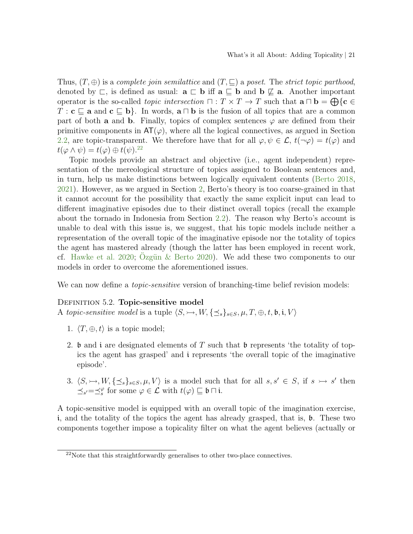Thus,  $(T, \oplus)$  is a complete join semilattice and  $(T, \sqsubseteq)$  a poset. The strict topic parthood, denoted by  $\sqsubset$ , is defined as usual:  $\mathbf{a} \sqsubset \mathbf{b}$  iff  $\mathbf{a} \sqsubseteq \mathbf{b}$  and  $\mathbf{b} \not\sqsubseteq \mathbf{a}$ . Another important operator is the so-called *topic intersection*  $\Box : T \times T \to T$  such that  $\mathbf{a} \Box \mathbf{b} = \bigoplus \{ \mathbf{c} \in$  $T : \mathbf{c} \sqsubseteq \mathbf{a}$  and  $\mathbf{c} \sqsubseteq \mathbf{b}$ . In words,  $\mathbf{a} \sqcap \mathbf{b}$  is the fusion of all topics that are a common part of both **a** and **b**. Finally, topics of complex sentences  $\varphi$  are defined from their primitive components in  $AT(\varphi)$ , where all the logical connectives, as argued in Section [2.2,](#page-3-0) are topic-transparent. We therefore have that for all  $\varphi, \psi \in \mathcal{L}$ ,  $t(\neg \varphi) = t(\varphi)$  and  $t(\varphi \wedge \psi) = t(\varphi) \oplus t(\psi).^{22}$  $t(\varphi \wedge \psi) = t(\varphi) \oplus t(\psi).^{22}$  $t(\varphi \wedge \psi) = t(\varphi) \oplus t(\psi).^{22}$ 

Topic models provide an abstract and objective (i.e., agent independent) representation of the mereological structure of topics assigned to Boolean sentences and, in turn, help us make distinctions between logically equivalent contents [\(Berto](#page-29-0) [2018,](#page-29-0) [2021\)](#page-29-1). However, as we argued in Section [2,](#page-1-0) Berto's theory is too coarse-grained in that it cannot account for the possibility that exactly the same explicit input can lead to different imaginative episodes due to their distinct overall topics (recall the example about the tornado in Indonesia from Section [2.2\)](#page-3-0). The reason why Berto's account is unable to deal with this issue is, we suggest, that his topic models include neither a representation of the overall topic of the imaginative episode nor the totality of topics the agent has mastered already (though the latter has been employed in recent work, cf. [Hawke et al.](#page-30-4) [2020;](#page-30-4) Ozgün  $\&$  Berto [2020\)](#page-31-6). We add these two components to our models in order to overcome the aforementioned issues.

<span id="page-20-1"></span>We can now define a *topic-sensitive* version of branching-time belief revision models:

#### DEFINITION 5.2. Topic-sensitive model

A topic-sensitive model is a tuple  $\langle S, \rightarrow, W, \{\preceq_s\}_{s\in S}, \mu, T, \oplus, t, \mathfrak{b}, \mathfrak{i}, V \rangle$ 

- 1.  $\langle T, \oplus, t \rangle$  is a topic model;
- 2. b and i are designated elements of T such that b represents 'the totality of topics the agent has grasped' and i represents 'the overall topic of the imaginative episode'.
- <span id="page-20-2"></span>3.  $\langle S, \rightarrow, W, \{\preceq_s\}_{s\in S}, \mu, V \rangle$  is a model such that for all  $s, s' \in S$ , if  $s \rightarrow s'$  then  $\preceq_{s'}=\preceq_s^{\varphi}$  for some  $\varphi \in \mathcal{L}$  with  $t(\varphi) \sqsubseteq \mathfrak{b} \sqcap \mathfrak{i}$ .

A topic-sensitive model is equipped with an overall topic of the imagination exercise, i, and the totality of the topics the agent has already grasped, that is, b. These two components together impose a topicality filter on what the agent believes (actually or

<span id="page-20-0"></span> $22$ Note that this straightforwardly generalises to other two-place connectives.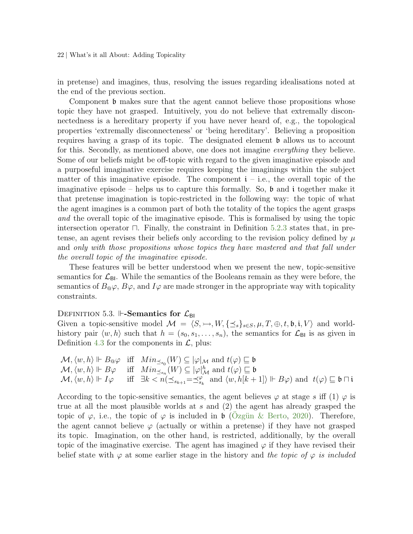22 | What's it all About: Adding Topicality

in pretense) and imagines, thus, resolving the issues regarding idealisations noted at the end of the previous section.

Component **b** makes sure that the agent cannot believe those propositions whose topic they have not grasped. Intuitively, you do not believe that extremally disconnectedness is a hereditary property if you have never heard of, e.g., the topological properties 'extremally disconnecteness' or 'being hereditary'. Believing a proposition requires having a grasp of its topic. The designated element b allows us to account for this. Secondly, as mentioned above, one does not imagine *everything* they believe. Some of our beliefs might be off-topic with regard to the given imaginative episode and a purposeful imaginative exercise requires keeping the imaginings within the subject matter of this imaginative episode. The component  $i - i.e.,$  the overall topic of the imaginative episode – helps us to capture this formally. So,  $\mathfrak b$  and i together make it that pretense imagination is topic-restricted in the following way: the topic of what the agent imagines is a common part of both the totality of the topics the agent grasps and the overall topic of the imaginative episode. This is formalised by using the topic intersection operator  $\Box$ . Finally, the constraint in Definition [5.2.](#page-20-1)[3](#page-20-2) states that, in pretense, an agent revises their beliefs only according to the revision policy defined by  $\mu$ and only with those propositions whose topics they have mastered and that fall under the overall topic of the imaginative episode.

These features will be better understood when we present the new, topic-sensitive semantics for  $\mathcal{L}_{\text{BI}}$ . While the semantics of the Booleans remain as they were before, the semantics of  $B_{\mathbb{Q}}\varphi$ ,  $B\varphi$ , and  $I\varphi$  are made stronger in the appropriate way with topicality constraints.

#### <span id="page-21-0"></span>DEFINITION 5.3.  $\mathbb{H}\text{-}\mathbf{Semantics}$  for  $\mathcal{L}_{\mathsf{BI}}$

Given a topic-sensitive model  $\mathcal{M} = \langle S, \rightarrow, W, \{\preceq_s\}_{s \in S}, \mu, T, \oplus, t, \mathfrak{b}, i, V \rangle$  and worldhistory pair  $\langle w, h \rangle$  such that  $h = (s_0, s_1, \ldots, s_n)$ , the semantics for  $\mathcal{L}_{\text{BI}}$  is as given in Definition [4.3](#page-14-0) for the components in  $\mathcal{L}$ , plus:

$$
\mathcal{M}, \langle w, h \rangle \Vdash B_{\mathfrak{Q}} \varphi \quad \text{iff} \quad Min_{\preceq s_0}(W) \subseteq |\varphi|_{\mathcal{M}} \text{ and } t(\varphi) \sqsubseteq \mathfrak{b} \n\mathcal{M}, \langle w, h \rangle \Vdash B\varphi \quad \text{iff} \quad Min_{\preceq s_n}(W) \subseteq |\varphi|_{\mathcal{M}}^h \text{ and } t(\varphi) \sqsubseteq \mathfrak{b} \n\mathcal{M}, \langle w, h \rangle \Vdash I\varphi \quad \text{iff} \quad \exists k < n(\preceq_{s_{k+1}} = \preceq_{s_k}^{\varphi} \text{ and } \langle w, h[k+1] \rangle \Vdash B\varphi) \text{ and } t(\varphi) \sqsubseteq \mathfrak{b} \sqcap \mathfrak{i}
$$

According to the topic-sensitive semantics, the agent believes  $\varphi$  at stage s iff (1)  $\varphi$  is true at all the most plausible worlds at s and (2) the agent has already grasped the topic of  $\varphi$ , i.e., the topic of  $\varphi$  is included in **b** (Ozgün & Berto, [2020\)](#page-31-6). Therefore, the agent cannot believe  $\varphi$  (actually or within a pretense) if they have not grasped its topic. Imagination, on the other hand, is restricted, additionally, by the overall topic of the imaginative exercise. The agent has imagined  $\varphi$  if they have revised their belief state with  $\varphi$  at some earlier stage in the history and the topic of  $\varphi$  is included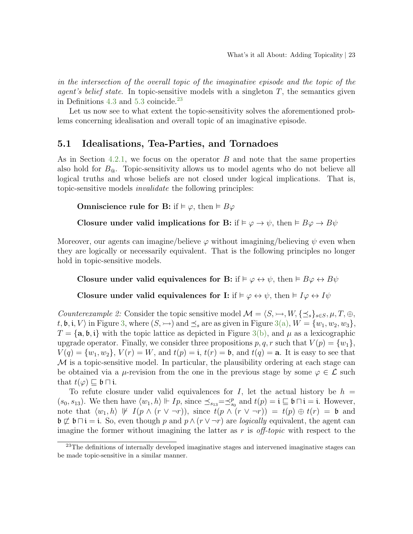in the intersection of the overall topic of the imaginative episode and the topic of the *agent's belief state*. In topic-sensitive models with a singleton  $T$ , the semantics given in Definitions  $4.3$  and  $5.3$  coincide.<sup>[23](#page-22-0)</sup>

Let us now see to what extent the topic-sensitivity solves the aforementioned problems concerning idealisation and overall topic of an imaginative episode.

# <span id="page-22-1"></span>5.1 Idealisations, Tea-Parties, and Tornadoes

As in Section [4.2.1,](#page-16-3) we focus on the operator B and note that the same properties also hold for  $B_{\mathcal{Q}}$ . Topic-sensitivity allows us to model agents who do not believe all logical truths and whose beliefs are not closed under logical implications. That is, topic-sensitive models invalidate the following principles:

Omniscience rule for B: if  $\models \varphi$ , then  $\models B\varphi$ 

Closure under valid implications for B: if  $\models \varphi \rightarrow \psi$ , then  $\models B\varphi \rightarrow B\psi$ 

Moreover, our agents can imagine/believe  $\varphi$  without imagining/believing  $\psi$  even when they are logically or necessarily equivalent. That is the following principles no longer hold in topic-sensitive models.

Closure under valid equivalences for B: if  $\models \varphi \leftrightarrow \psi$ , then  $\models B\varphi \leftrightarrow B\psi$ 

Closure under valid equivalences for I: if  $\models \varphi \leftrightarrow \psi$ , then  $\models I\varphi \leftrightarrow I\psi$ 

Counterexample 2: Consider the topic sensitive model  $\mathcal{M} = \langle S, \rightarrow, W, \{\preceq_s\}_{s \in S}, \mu, T, \oplus,$  $t, \mathfrak{b}, \mathfrak{i}, V$  in Figure [3,](#page-23-0) where  $(S, \rightarrow)$  and  $\preceq_s$  are as given in Figure [3\(a\),](#page-23-1)  $W = \{w_1, w_2, w_3\},$  $T = {\bf a}, {\bf b}, {\bf i}$  with the topic lattice as depicted in Figure [3\(b\),](#page-23-2) and  $\mu$  as a lexicographic upgrade operator. Finally, we consider three propositions  $p, q, r$  such that  $V(p) = \{w_1\}$ ,  $V(q) = \{w_1, w_2\}, V(r) = W$ , and  $t(p) = \mathbf{i}, t(r) = \mathbf{b}$ , and  $t(q) = \mathbf{a}$ . It is easy to see that  $\mathcal M$  is a topic-sensitive model. In particular, the plausibility ordering at each stage can be obtained via a  $\mu$ -revision from the one in the previous stage by some  $\varphi \in \mathcal{L}$  such that  $t(\varphi) \sqsubset \mathfrak{b} \sqcap \mathfrak{i}$ .

To refute closure under valid equivalences for I, let the actual history be  $h =$  $(s_0, s_{13})$ . We then have  $\langle w_1, h \rangle \Vdash Ip$ , since  $\preceq_{s_{13}} = \preceq_{s_0}^p$  and  $t(p) = \mathfrak{i} \sqsubseteq \mathfrak{b} \sqcap \mathfrak{i} = \mathfrak{i}$ . However, note that  $\langle w_1, h \rangle \not\Vdash I(p \wedge (r \vee \neg r)),$  since  $t(p \wedge (r \vee \neg r)) = t(p) \oplus t(r) = \mathfrak{b}$  and  $\mathfrak{b} \not\sqsubset \mathfrak{b} \sqcap \mathfrak{i} = \mathfrak{i}$ . So, even though p and  $p \wedge (r \vee \neg r)$  are *logically* equivalent, the agent can imagine the former without imagining the latter as r is *off-topic* with respect to the

<span id="page-22-0"></span> $23$ The definitions of internally developed imaginative stages and intervened imaginative stages can be made topic-sensitive in a similar manner.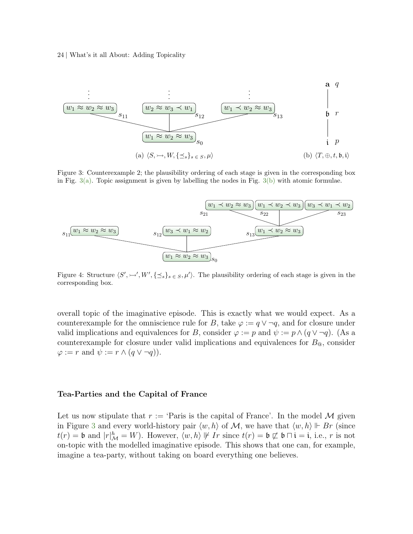#### 24 | What's it all About: Adding Topicality

<span id="page-23-1"></span><span id="page-23-0"></span>

<span id="page-23-2"></span>Figure 3: Counterexample 2; the plausibility ordering of each stage is given in the corresponding box in Fig.  $3(a)$ . Topic assignment is given by labelling the nodes in Fig.  $3(b)$  with atomic formulae.

<span id="page-23-3"></span>

Figure 4: Structure  $\langle S', \rightarrow', W', \{\preceq_s\}_{s \in S}, \mu' \rangle$ . The plausibility ordering of each stage is given in the corresponding box.

overall topic of the imaginative episode. This is exactly what we would expect. As a counterexample for the omniscience rule for B, take  $\varphi := q \vee \neg q$ , and for closure under valid implications and equivalences for B, consider  $\varphi := p$  and  $\psi := p \wedge (q \vee \neg q)$ . (As a counterexample for closure under valid implications and equivalences for  $B_{\text{\textcircled{a}}}$ , consider  $\varphi := r$  and  $\psi := r \wedge (q \vee \neg q)$ .

#### Tea-Parties and the Capital of France

Let us now stipulate that  $r := \text{'Paris is the capital of France'.}$  In the model M given in Figure [3](#page-23-0) and every world-history pair  $\langle w, h \rangle$  of M, we have that  $\langle w, h \rangle \Vdash Br$  (since  $t(r) = \mathfrak{b}$  and  $|r|_{\mathcal{M}}^h = W$ ). However,  $\langle w, h \rangle \not\vdash Ir$  since  $t(r) = \mathfrak{b} \not\sqsubset \mathfrak{b} \cap \mathfrak{i} = \mathfrak{i}$ , i.e., r is not on-topic with the modelled imaginative episode. This shows that one can, for example, imagine a tea-party, without taking on board everything one believes.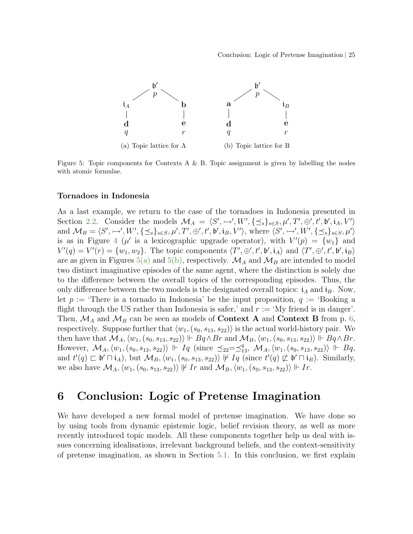<span id="page-24-1"></span><span id="page-24-0"></span>

Figure 5: Topic components for Contexts A & B. Topic assignment is given by labelling the nodes with atomic formulae.

#### Tornadoes in Indonesia

As a last example, we return to the case of the tornadoes in Indonesia presented in Section [2.2.](#page-3-0) Consider the models  $\mathcal{M}_A = \langle S', \rightarrow', W', \{\preceq_s\}_{s \in S}, \mu', T', \oplus', t', \mathfrak{b}', i_A, V'\rangle$ and  $\mathcal{M}_B = \langle S', \rightarrow', W', \{\preceq_s\}_{s \in S}, \mu', T', \oplus', t', \mathfrak{b}', \mathfrak{i}_B, V' \rangle$ , where  $\langle S', \rightarrow', W', \{\preceq_s\}_{s \in S}, \mu' \rangle$ is as in Figure [4](#page-23-3) ( $\mu'$  is a lexicographic upgrade operator), with  $V'(p) = \{w_1\}$  and  $V'(q) = V'(r) = \{w_1, w_2\}.$  The topic components  $\langle T', \oplus', t', \mathfrak{b}', \mathfrak{i}_A \rangle$  and  $\langle T', \oplus', t', \mathfrak{b}', \mathfrak{i}_B \rangle$ are as given in Figures [5\(a\)](#page-24-0) and [5\(b\),](#page-24-1) respectively.  $\mathcal{M}_A$  and  $\mathcal{M}_B$  are intended to model two distinct imaginative episodes of the same agent, where the distinction is solely due to the difference between the overall topics of the corresponding episodes. Thus, the only difference between the two models is the designated overall topics:  $i_A$  and  $i_B$ . Now, let  $p :=$  There is a tornado in Indonesia' be the input proposition,  $q :=$  Booking a flight through the US rather than Indonesia is safer,' and  $r := 'My$  friend is in danger'. Then,  $\mathcal{M}_A$  and  $\mathcal{M}_B$  can be seen as models of **Context A** and **Context B** from p. [6,](#page-4-1) respectively. Suppose further that  $\langle w_1, (s_0, s_{13}, s_{22})\rangle$  is the actual world-history pair. We then have that  $\mathcal{M}_A, \langle w_1, (s_0, s_{13}, s_{22}) \rangle \Vdash Bq \wedge Br$  and  $\mathcal{M}_B, \langle w_1, (s_0, s_{13}, s_{22}) \rangle \Vdash Bq \wedge Br$ . However,  $\mathcal{M}_A, \langle w_1, (s_0, s_{13}, s_{22}) \rangle \Vdash I_q$  (since  $\preceq_{22}=\preceq_{13}^q$ ,  $\mathcal{M}_A, \langle w_1, (s_0, s_{13}, s_{22}) \rangle \Vdash Bq$ , and  $t'(q) \sqsubset \mathfrak{b}' \sqcap \mathfrak{i}_A$ , but  $\mathcal{M}_B$ ,  $\langle w_1, (s_0, s_{13}, s_{22}) \rangle \not\vdash I_q$  (since  $t'(q) \not\sqsubset \mathfrak{b}' \sqcap \mathfrak{i}_B$ ). Similarly, we also have  $\mathcal{M}_A, \langle w_1, (s_0, s_{13}, s_{22}) \rangle \not\vdash Ir$  and  $\mathcal{M}_B, \langle w_1, (s_0, s_{13}, s_{22}) \rangle \Vdash Ir$ .

# 6 Conclusion: Logic of Pretense Imagination

We have developed a new formal model of pretense imagination. We have done so by using tools from dynamic epistemic logic, belief revision theory, as well as more recently introduced topic models. All these components together help us deal with issues concerning idealisations, irrelevant background beliefs, and the context-sensitivity of pretense imagination, as shown in Section [5.1.](#page-22-1) In this conclusion, we first explain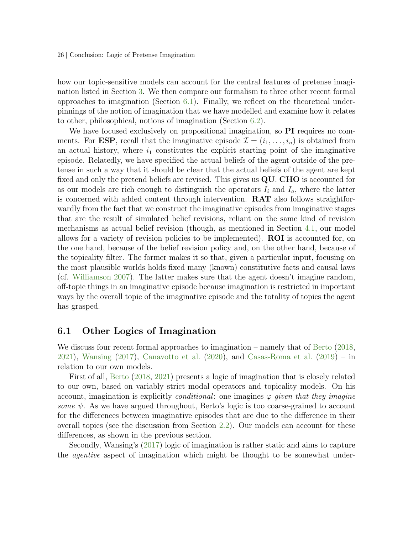26 | Conclusion: Logic of Pretense Imagination

how our topic-sensitive models can account for the central features of pretense imagination listed in Section [3.](#page-6-2) We then compare our formalism to three other recent formal approaches to imagination (Section [6.1\)](#page-25-0). Finally, we reflect on the theoretical underpinnings of the notion of imagination that we have modelled and examine how it relates to other, philosophical, notions of imagination (Section [6.2\)](#page-26-0).

We have focused exclusively on propositional imagination, so **PI** requires no comments. For **ESP**, recall that the imaginative episode  $\mathcal{I} = (i_1, \ldots, i_n)$  is obtained from an actual history, where  $i_1$  constitutes the explicit starting point of the imaginative episode. Relatedly, we have specified the actual beliefs of the agent outside of the pretense in such a way that it should be clear that the actual beliefs of the agent are kept fixed and only the pretend beliefs are revised. This gives us  $\mathbf{Q}\mathbf{U}$ . CHO is accounted for as our models are rich enough to distinguish the operators  $I_i$  and  $I_a$ , where the latter is concerned with added content through intervention. RAT also follows straightforwardly from the fact that we construct the imaginative episodes from imaginative stages that are the result of simulated belief revisions, reliant on the same kind of revision mechanisms as actual belief revision (though, as mentioned in Section [4.1,](#page-9-2) our model allows for a variety of revision policies to be implemented). ROI is accounted for, on the one hand, because of the belief revision policy and, on the other hand, because of the topicality filter. The former makes it so that, given a particular input, focusing on the most plausible worlds holds fixed many (known) constitutive facts and causal laws (cf. [Williamson](#page-32-0) [2007\)](#page-32-0). The latter makes sure that the agent doesn't imagine random, off-topic things in an imaginative episode because imagination is restricted in important ways by the overall topic of the imaginative episode and the totality of topics the agent has grasped.

### <span id="page-25-0"></span>6.1 Other Logics of Imagination

We discuss four recent formal approaches to imagination – namely that of [Berto](#page-29-0) [\(2018,](#page-29-0) [2021\)](#page-29-1), [Wansing](#page-32-4) [\(2017\)](#page-32-4), [Canavotto et al.](#page-30-11) [\(2020\)](#page-30-11), and [Casas-Roma et al.](#page-30-12) [\(2019\)](#page-30-12) – in relation to our own models.

First of all, [Berto](#page-29-0) [\(2018,](#page-29-0) [2021\)](#page-29-1) presents a logic of imagination that is closely related to our own, based on variably strict modal operators and topicality models. On his account, imagination is explicitly *conditional*: one imagines  $\varphi$  given that they imagine some  $\psi$ . As we have argued throughout, Berto's logic is too coarse-grained to account for the differences between imaginative episodes that are due to the difference in their overall topics (see the discussion from Section [2.2\)](#page-3-0). Our models can account for these differences, as shown in the previous section.

Secondly, Wansing's [\(2017\)](#page-32-4) logic of imagination is rather static and aims to capture the agentive aspect of imagination which might be thought to be somewhat under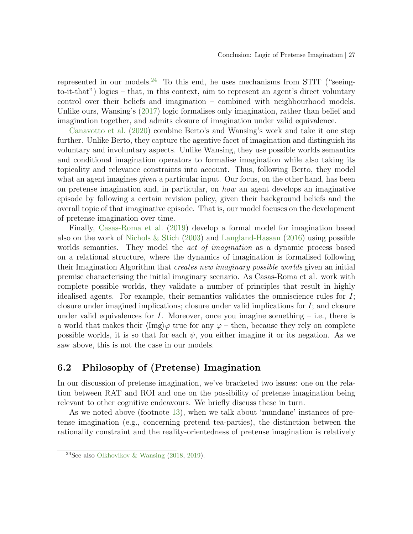represented in our models.<sup>[24](#page-26-1)</sup> To this end, he uses mechanisms from STIT ("seeingto-it-that") logics – that, in this context, aim to represent an agent's direct voluntary control over their beliefs and imagination – combined with neighbourhood models. Unlike ours, Wansing's [\(2017\)](#page-32-4) logic formalises only imagination, rather than belief and imagination together, and admits closure of imagination under valid equivalence.

[Canavotto et al.](#page-30-11) [\(2020\)](#page-30-11) combine Berto's and Wansing's work and take it one step further. Unlike Berto, they capture the agentive facet of imagination and distinguish its voluntary and involuntary aspects. Unlike Wansing, they use possible worlds semantics and conditional imagination operators to formalise imagination while also taking its topicality and relevance constraints into account. Thus, following Berto, they model what an agent imagines *given* a particular input. Our focus, on the other hand, has been on pretense imagination and, in particular, on how an agent develops an imaginative episode by following a certain revision policy, given their background beliefs and the overall topic of that imaginative episode. That is, our model focuses on the development of pretense imagination over time.

Finally, [Casas-Roma et al.](#page-30-12) [\(2019\)](#page-30-12) develop a formal model for imagination based also on the work of [Nichols & Stich](#page-31-0)  $(2003)$  and [Langland-Hassan](#page-31-2)  $(2016)$  using possible worlds semantics. They model the *act of imagination* as a dynamic process based on a relational structure, where the dynamics of imagination is formalised following their Imagination Algorithm that creates new imaginary possible worlds given an initial premise characterising the initial imaginary scenario. As Casas-Roma et al. work with complete possible worlds, they validate a number of principles that result in highly idealised agents. For example, their semantics validates the omniscience rules for I; closure under imagined implications; closure under valid implications for  $I$ ; and closure under valid equivalences for  $I$ . Moreover, once you imagine something  $-$  i.e., there is a world that makes their  $\langle \text{Im}g \rangle \varphi$  true for any  $\varphi$  – then, because they rely on complete possible worlds, it is so that for each  $\psi$ , you either imagine it or its negation. As we saw above, this is not the case in our models.

# <span id="page-26-0"></span>6.2 Philosophy of (Pretense) Imagination

In our discussion of pretense imagination, we've bracketed two issues: one on the relation between RAT and ROI and one on the possibility of pretense imagination being relevant to other cognitive endeavours. We briefly discuss these in turn.

As we noted above (footnote [13\)](#page-9-1), when we talk about 'mundane' instances of pretense imagination (e.g., concerning pretend tea-parties), the distinction between the rationality constraint and the reality-orientedness of pretense imagination is relatively

<span id="page-26-1"></span><sup>&</sup>lt;sup>24</sup>See also [Olkhovikov & Wansing](#page-31-11)  $(2018, 2019)$  $(2018, 2019)$  $(2018, 2019)$ .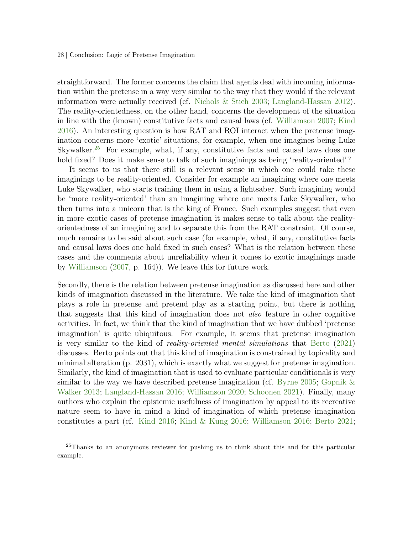28 | Conclusion: Logic of Pretense Imagination

straightforward. The former concerns the claim that agents deal with incoming information within the pretense in a way very similar to the way that they would if the relevant information were actually received (cf. [Nichols & Stich](#page-31-0) [2003;](#page-31-0) [Langland-Hassan](#page-31-1) [2012\)](#page-31-1). The reality-orientedness, on the other hand, concerns the development of the situation in line with the (known) constitutive facts and causal laws (cf. [Williamson](#page-32-0) [2007;](#page-32-0) [Kind](#page-30-8) [2016\)](#page-30-8). An interesting question is how RAT and ROI interact when the pretense imagination concerns more 'exotic' situations, for example, when one imagines being Luke Skywalker.<sup>[25](#page-27-0)</sup> For example, what, if any, constitutive facts and causal laws does one hold fixed? Does it make sense to talk of such imaginings as being 'reality-oriented'?

It seems to us that there still is a relevant sense in which one could take these imaginings to be reality-oriented. Consider for example an imagining where one meets Luke Skywalker, who starts training them in using a lightsaber. Such imagining would be 'more reality-oriented' than an imagining where one meets Luke Skywalker, who then turns into a unicorn that is the king of France. Such examples suggest that even in more exotic cases of pretense imagination it makes sense to talk about the realityorientedness of an imagining and to separate this from the RAT constraint. Of course, much remains to be said about such case (for example, what, if any, constitutive facts and causal laws does one hold fixed in such cases? What is the relation between these cases and the comments about unreliability when it comes to exotic imaginings made by [Williamson](#page-32-0) [\(2007,](#page-32-0) p. 164)). We leave this for future work.

Secondly, there is the relation between pretense imagination as discussed here and other kinds of imagination discussed in the literature. We take the kind of imagination that plays a role in pretense and pretend play as a starting point, but there is nothing that suggests that this kind of imagination does not also feature in other cognitive activities. In fact, we think that the kind of imagination that we have dubbed 'pretense imagination' is quite ubiquitous. For example, it seems that pretense imagination is very similar to the kind of reality-oriented mental simulations that [Berto](#page-29-1) [\(2021\)](#page-29-1) discusses. Berto points out that this kind of imagination is constrained by topicality and minimal alteration (p. 2031), which is exactly what we suggest for pretense imagination. Similarly, the kind of imagination that is used to evaluate particular conditionals is very similar to the way we have described pretense imagination (cf. [Byrne](#page-30-1) [2005;](#page-30-1) [Gopnik &](#page-30-13) [Walker](#page-30-13) [2013;](#page-30-13) [Langland-Hassan](#page-31-2) [2016;](#page-31-2) [Williamson](#page-32-5) [2020;](#page-32-5) [Schoonen](#page-31-13) [2021\)](#page-31-13). Finally, many authors who explain the epistemic usefulness of imagination by appeal to its recreative nature seem to have in mind a kind of imagination of which pretense imagination constitutes a part (cf. [Kind](#page-30-8) [2016;](#page-30-8) [Kind & Kung](#page-30-14) [2016;](#page-30-14) [Williamson](#page-32-1) [2016;](#page-32-1) [Berto](#page-29-1) [2021;](#page-29-1)

<span id="page-27-0"></span><sup>&</sup>lt;sup>25</sup>Thanks to an anonymous reviewer for pushing us to think about this and for this particular example.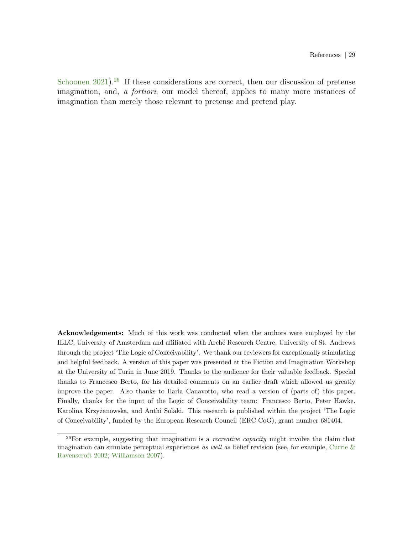[Schoonen](#page-31-13) [2021\)](#page-31-13).<sup>[26](#page-28-0)</sup> If these considerations are correct, then our discussion of pretense imagination, and, a fortiori, our model thereof, applies to many more instances of imagination than merely those relevant to pretense and pretend play.

Acknowledgements: Much of this work was conducted when the authors were employed by the ILLC, University of Amsterdam and affiliated with Arch´e Research Centre, University of St. Andrews through the project 'The Logic of Conceivability'. We thank our reviewers for exceptionally stimulating and helpful feedback. A version of this paper was presented at the Fiction and Imagination Workshop at the University of Turin in June 2019. Thanks to the audience for their valuable feedback. Special thanks to Francesco Berto, for his detailed comments on an earlier draft which allowed us greatly improve the paper. Also thanks to Ilaria Canavotto, who read a version of (parts of) this paper. Finally, thanks for the input of the Logic of Conceivability team: Francesco Berto, Peter Hawke, Karolina Krzyżanowska, and Anthi Solaki. This research is published within the project 'The Logic of Conceivability', funded by the European Research Council (ERC CoG), grant number 681404.

<span id="page-28-0"></span> $26$ For example, suggesting that imagination is a *recreative capacity* might involve the claim that imagination can simulate perceptual experiences as well as belief revision (see, for example, Currie  $\&$ [Ravenscroft](#page-30-0) [2002;](#page-30-0) [Williamson](#page-32-0) [2007\)](#page-32-0).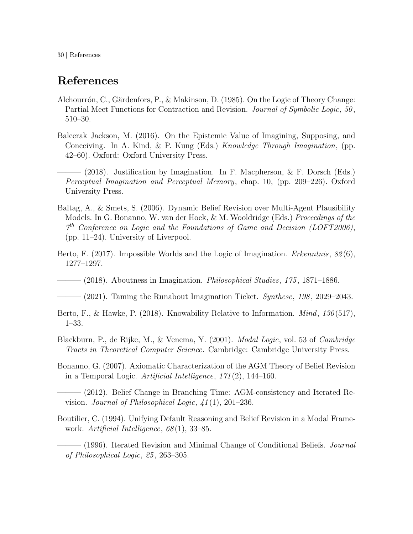30 | References

# References

- <span id="page-29-7"></span>Alchourrón, C., Gärdenfors, P., & Makinson, D. (1985). On the Logic of Theory Change: Partial Meet Functions for Contraction and Revision. *Journal of Symbolic Logic*, 50, 510–30.
- <span id="page-29-2"></span>Balcerak Jackson, M. (2016). On the Epistemic Value of Imagining, Supposing, and Conceiving. In A. Kind, & P. Kung (Eds.) Knowledge Through Imagination, (pp. 42–60). Oxford: Oxford University Press.
- <span id="page-29-4"></span> $-$  (2018). Justification by Imagination. In F. Macpherson, & F. Dorsch (Eds.) Perceptual Imagination and Perceptual Memory, chap. 10, (pp. 209–226). Oxford University Press.
- <span id="page-29-8"></span>Baltag, A., & Smets, S. (2006). Dynamic Belief Revision over Multi-Agent Plausibility Models. In G. Bonanno, W. van der Hoek, & M. Wooldridge (Eds.) Proceedings of the 7 th Conference on Logic and the Foundations of Game and Decision (LOFT2006), (pp. 11–24). University of Liverpool.
- <span id="page-29-9"></span>Berto, F. (2017). Impossible Worlds and the Logic of Imagination. *Erkenntnis*, 82(6), 1277–1297.
- <span id="page-29-0"></span> $-$  (2018). Aboutness in Imagination. *Philosophical Studies*, 175, 1871–1886.
- <span id="page-29-1"></span> $(2021)$ . Taming the Runabout Imagination Ticket. Synthese, 198, 2029–2043.
- <span id="page-29-3"></span>Berto, F., & Hawke, P. (2018). Knowability Relative to Information. *Mind*, 130(517), 1–33.
- <span id="page-29-12"></span>Blackburn, P., de Rijke, M., & Venema, Y. (2001). Modal Logic, vol. 53 of Cambridge Tracts in Theoretical Computer Science. Cambridge: Cambridge University Press.
- <span id="page-29-5"></span>Bonanno, G. (2007). Axiomatic Characterization of the AGM Theory of Belief Revision in a Temporal Logic. Artificial Intelligence,  $171(2)$ , 144–160.
- <span id="page-29-6"></span>——— (2012). Belief Change in Branching Time: AGM-consistency and Iterated Revision. Journal of Philosophical Logic,  $41(1)$ , 201–236.
- <span id="page-29-10"></span>Boutilier, C. (1994). Unifying Default Reasoning and Belief Revision in a Modal Framework. Artificial Intelligence,  $68(1)$ , 33–85.

<span id="page-29-11"></span> $-$  (1996). Iterated Revision and Minimal Change of Conditional Beliefs. *Journal* of Philosophical Logic, 25 , 263–305.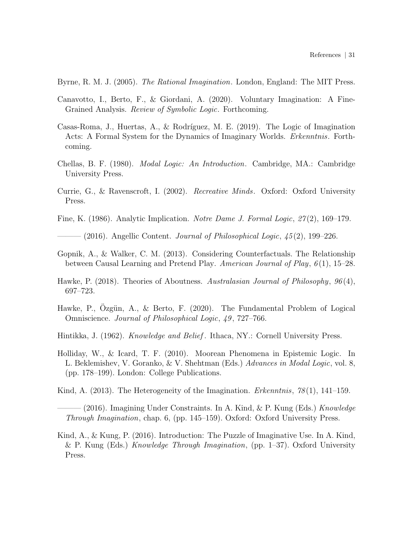<span id="page-30-1"></span>Byrne, R. M. J. (2005). The Rational Imagination. London, England: The MIT Press.

- <span id="page-30-11"></span>Canavotto, I., Berto, F., & Giordani, A. (2020). Voluntary Imagination: A Fine-Grained Analysis. Review of Symbolic Logic. Forthcoming.
- <span id="page-30-12"></span>Casas-Roma, J., Huertas, A., & Rodríguez, M. E. (2019). The Logic of Imagination Acts: A Formal System for the Dynamics of Imaginary Worlds. Erkenntnis. Forthcoming.
- <span id="page-30-10"></span>Chellas, B. F. (1980). Modal Logic: An Introduction. Cambridge, MA.: Cambridge University Press.
- <span id="page-30-0"></span>Currie, G., & Ravenscroft, I. (2002). Recreative Minds. Oxford: Oxford University Press.
- <span id="page-30-6"></span>Fine, K. (1986). Analytic Implication. Notre Dame J. Formal Logic, 27 (2), 169–179.

<span id="page-30-7"></span> $-$  (2016). Angellic Content. *Journal of Philosophical Logic*,  $45(2)$ , 199–226.

- <span id="page-30-13"></span>Gopnik, A., & Walker, C. M. (2013). Considering Counterfactuals. The Relationship between Causal Learning and Pretend Play. American Journal of Play,  $6(1)$ , 15–28.
- <span id="page-30-3"></span>Hawke, P. (2018). Theories of Aboutness. Australasian Journal of Philosophy, 96(4), 697–723.
- <span id="page-30-4"></span>Hawke, P., Ozgün, A., & Berto, F.  $(2020)$ . The Fundamental Problem of Logical Omniscience. Journal of Philosophical Logic, 49 , 727–766.
- <span id="page-30-5"></span>Hintikka, J. (1962). *Knowledge and Belief*. Ithaca, NY.: Cornell University Press.
- <span id="page-30-9"></span>Holliday, W., & Icard, T. F. (2010). Moorean Phenomena in Epistemic Logic. In L. Beklemishev, V. Goranko, & V. Shehtman (Eds.) Advances in Modal Logic, vol. 8, (pp. 178–199). London: College Publications.
- <span id="page-30-2"></span>Kind, A.  $(2013)$ . The Heterogeneity of the Imagination. *Erkenntnis*,  $78(1)$ , 141–159.

<span id="page-30-8"></span>(2016). Imagining Under Constraints. In A. Kind,  $\&$  P. Kung (Eds.) Knowledge Through Imagination, chap. 6, (pp. 145–159). Oxford: Oxford University Press.

<span id="page-30-14"></span>Kind, A., & Kung, P. (2016). Introduction: The Puzzle of Imaginative Use. In A. Kind, & P. Kung (Eds.) Knowledge Through Imagination, (pp.  $1-37$ ). Oxford University Press.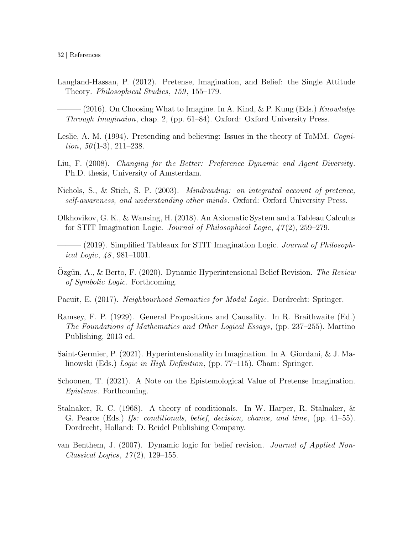- <span id="page-31-2"></span><span id="page-31-1"></span>Langland-Hassan, P. (2012). Pretense, Imagination, and Belief: the Single Attitude Theory. *Philosophical Studies*, 159, 155–179.
	- $(2016)$ . On Choosing What to Imagine. In A. Kind, & P. Kung (Eds.) Knowledge Through Imaginaion, chap. 2, (pp. 61–84). Oxford: Oxford University Press.
- <span id="page-31-3"></span>Leslie, A. M. (1994). Pretending and believing: Issues in the theory of ToMM. Cogni*tion*,  $50(1-3)$ ,  $211-238$ .
- <span id="page-31-9"></span>Liu, F. (2008). Changing for the Better: Preference Dynamic and Agent Diversity. Ph.D. thesis, University of Amsterdam.
- <span id="page-31-0"></span>Nichols, S., & Stich, S. P. (2003). Mindreading: an integrated account of pretence, self-awareness, and understanding other minds. Oxford: Oxford University Press.
- <span id="page-31-11"></span>Olkhovikov, G. K., & Wansing, H. (2018). An Axiomatic System and a Tableau Calculus for STIT Imagination Logic. *Journal of Philosophical Logic*,  $47(2)$ , 259–279.
- <span id="page-31-12"></span> $-(2019)$ . Simplified Tableaux for STIT Imagination Logic. *Journal of Philosoph*ical Logic,  $48, 981-1001$ .
- <span id="page-31-6"></span>Ozgün, A., & Berto, F. (2020). Dynamic Hyperintensional Belief Revision. The Review of Symbolic Logic. Forthcoming.
- <span id="page-31-10"></span>Pacuit, E. (2017). Neighbourhood Semantics for Modal Logic. Dordrecht: Springer.
- <span id="page-31-4"></span>Ramsey, F. P. (1929). General Propositions and Causality. In R. Braithwaite (Ed.) The Foundations of Mathematics and Other Logical Essays, (pp. 237–255). Martino Publishing, 2013 ed.
- <span id="page-31-8"></span>Saint-Germier, P. (2021). Hyperintensionality in Imagination. In A. Giordani, & J. Malinowski (Eds.) Logic in High Definition, (pp. 77–115). Cham: Springer.
- <span id="page-31-13"></span>Schoonen, T. (2021). A Note on the Epistemological Value of Pretense Imagination. Episteme. Forthcoming.
- <span id="page-31-5"></span>Stalnaker, R. C. (1968). A theory of conditionals. In W. Harper, R. Stalnaker, & G. Pearce (Eds.) Ifs: conditionals, belief, decision, chance, and time, (pp. 41–55). Dordrecht, Holland: D. Reidel Publishing Company.
- <span id="page-31-7"></span>van Benthem, J. (2007). Dynamic logic for belief revision. Journal of Applied Non-Classical Logics,  $17(2)$ , 129–155.